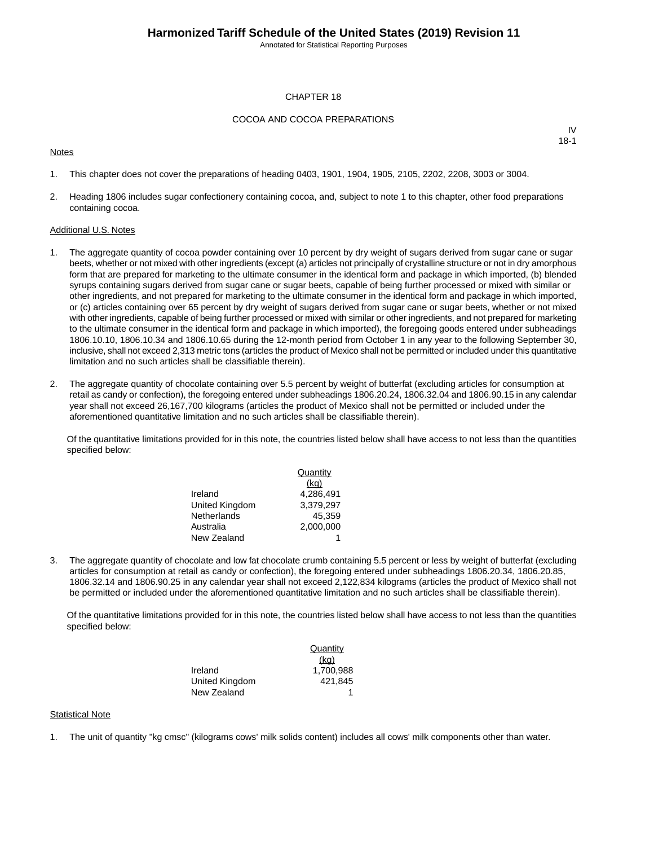Annotated for Statistical Reporting Purposes

#### CHAPTER 18

#### COCOA AND COCOA PREPARATIONS

#### **Notes**

IV 18-1

- 1. This chapter does not cover the preparations of heading 0403, 1901, 1904, 1905, 2105, 2202, 2208, 3003 or 3004.
- 2. Heading 1806 includes sugar confectionery containing cocoa, and, subject to note 1 to this chapter, other food preparations containing cocoa.

#### Additional U.S. Notes

- 1. The aggregate quantity of cocoa powder containing over 10 percent by dry weight of sugars derived from sugar cane or sugar beets, whether or not mixed with other ingredients (except (a) articles not principally of crystalline structure or not in dry amorphous form that are prepared for marketing to the ultimate consumer in the identical form and package in which imported, (b) blended syrups containing sugars derived from sugar cane or sugar beets, capable of being further processed or mixed with similar or other ingredients, and not prepared for marketing to the ultimate consumer in the identical form and package in which imported, or (c) articles containing over 65 percent by dry weight of sugars derived from sugar cane or sugar beets, whether or not mixed with other ingredients, capable of being further processed or mixed with similar or other ingredients, and not prepared for marketing to the ultimate consumer in the identical form and package in which imported), the foregoing goods entered under subheadings 1806.10.10, 1806.10.34 and 1806.10.65 during the 12-month period from October 1 in any year to the following September 30, inclusive, shall not exceed 2,313 metric tons (articles the product of Mexico shall not be permitted or included under this quantitative limitation and no such articles shall be classifiable therein).
- 2. The aggregate quantity of chocolate containing over 5.5 percent by weight of butterfat (excluding articles for consumption at retail as candy or confection), the foregoing entered under subheadings 1806.20.24, 1806.32.04 and 1806.90.15 in any calendar year shall not exceed 26,167,700 kilograms (articles the product of Mexico shall not be permitted or included under the aforementioned quantitative limitation and no such articles shall be classifiable therein).

Of the quantitative limitations provided for in this note, the countries listed below shall have access to not less than the quantities specified below:

|                | Quantity  |
|----------------|-----------|
|                | (kq)      |
| Ireland        | 4.286.491 |
| United Kingdom | 3,379,297 |
| Netherlands    | 45.359    |
| Australia      | 2.000.000 |
| New Zealand    |           |

3. The aggregate quantity of chocolate and low fat chocolate crumb containing 5.5 percent or less by weight of butterfat (excluding articles for consumption at retail as candy or confection), the foregoing entered under subheadings 1806.20.34, 1806.20.85, 1806.32.14 and 1806.90.25 in any calendar year shall not exceed 2,122,834 kilograms (articles the product of Mexico shall not be permitted or included under the aforementioned quantitative limitation and no such articles shall be classifiable therein).

Of the quantitative limitations provided for in this note, the countries listed below shall have access to not less than the quantities specified below:

|                | Quantity  |
|----------------|-----------|
|                | (kq)      |
| Ireland        | 1.700.988 |
| United Kingdom | 421.845   |
| New Zealand    |           |

#### Statistical Note

1. The unit of quantity "kg cmsc" (kilograms cows' milk solids content) includes all cows' milk components other than water.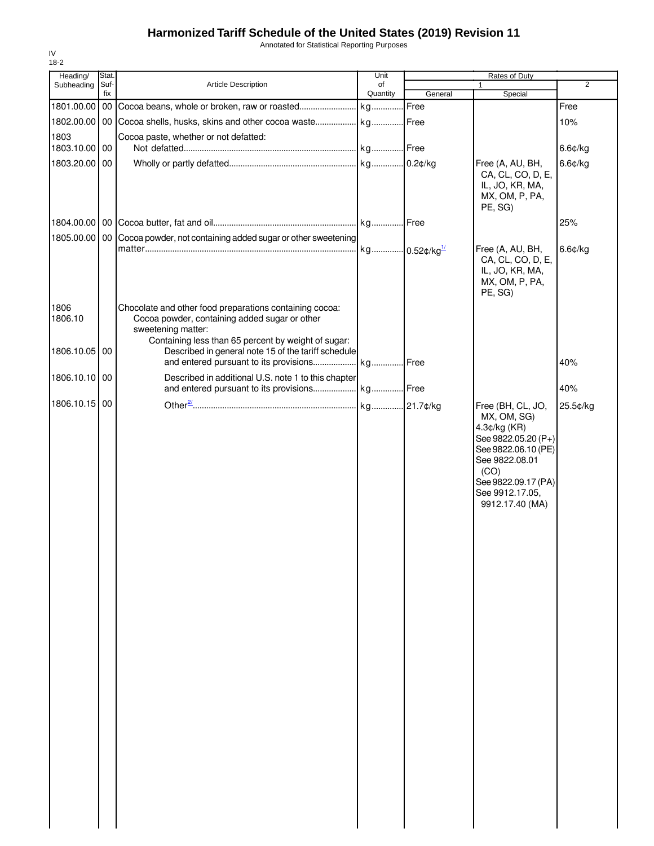Annotated for Statistical Reporting Purposes

| Stat.<br>Heading/ |                                                                     | Unit                                                                                                                                                                                                                                                        | Rates of Duty                                                                                                                                                                                          |                                                                                                                    |                                                                                                                    |
|-------------------|---------------------------------------------------------------------|-------------------------------------------------------------------------------------------------------------------------------------------------------------------------------------------------------------------------------------------------------------|--------------------------------------------------------------------------------------------------------------------------------------------------------------------------------------------------------|--------------------------------------------------------------------------------------------------------------------|--------------------------------------------------------------------------------------------------------------------|
|                   | Article Description                                                 | of                                                                                                                                                                                                                                                          |                                                                                                                                                                                                        |                                                                                                                    | $\overline{2}$                                                                                                     |
|                   |                                                                     |                                                                                                                                                                                                                                                             |                                                                                                                                                                                                        |                                                                                                                    |                                                                                                                    |
|                   |                                                                     |                                                                                                                                                                                                                                                             |                                                                                                                                                                                                        |                                                                                                                    | Free                                                                                                               |
|                   |                                                                     |                                                                                                                                                                                                                                                             |                                                                                                                                                                                                        |                                                                                                                    | 10%                                                                                                                |
|                   |                                                                     |                                                                                                                                                                                                                                                             |                                                                                                                                                                                                        |                                                                                                                    | 6.6¢/kg                                                                                                            |
|                   |                                                                     |                                                                                                                                                                                                                                                             |                                                                                                                                                                                                        |                                                                                                                    | $6.6$ ¢/kg                                                                                                         |
|                   |                                                                     |                                                                                                                                                                                                                                                             |                                                                                                                                                                                                        | CA, CL, CO, D, E,<br>IL, JO, KR, MA,<br>MX, OM, P, PA,<br>PE, SG)                                                  |                                                                                                                    |
|                   |                                                                     |                                                                                                                                                                                                                                                             |                                                                                                                                                                                                        |                                                                                                                    | 25%                                                                                                                |
|                   |                                                                     |                                                                                                                                                                                                                                                             |                                                                                                                                                                                                        |                                                                                                                    |                                                                                                                    |
|                   |                                                                     |                                                                                                                                                                                                                                                             |                                                                                                                                                                                                        | CA, CL, CO, D, E,<br>IL, JO, KR, MA,<br>MX, OM, P, PA,<br>PE, SG)                                                  | $6.6$ ¢/kg                                                                                                         |
|                   | Cocoa powder, containing added sugar or other<br>sweetening matter: |                                                                                                                                                                                                                                                             |                                                                                                                                                                                                        |                                                                                                                    |                                                                                                                    |
|                   |                                                                     |                                                                                                                                                                                                                                                             |                                                                                                                                                                                                        |                                                                                                                    |                                                                                                                    |
|                   |                                                                     |                                                                                                                                                                                                                                                             |                                                                                                                                                                                                        |                                                                                                                    | 40%                                                                                                                |
|                   |                                                                     |                                                                                                                                                                                                                                                             |                                                                                                                                                                                                        |                                                                                                                    | 40%                                                                                                                |
|                   |                                                                     |                                                                                                                                                                                                                                                             |                                                                                                                                                                                                        |                                                                                                                    | 25.5¢/kg                                                                                                           |
|                   |                                                                     |                                                                                                                                                                                                                                                             |                                                                                                                                                                                                        | MX, OM, SG)<br>4.3¢/kg (KR)<br>See 9822.05.20 (P+)<br>See 9822.08.01<br>(CO)<br>See 9912.17.05,<br>9912.17.40 (MA) |                                                                                                                    |
|                   | Subheading                                                          | Suf-<br>fix<br>Cocoa paste, whether or not defatted:<br>1803.10.00 00<br>1803.20.00 00<br>Chocolate and other food preparations containing cocoa:<br>Containing less than 65 percent by weight of sugar:<br>1806.10.05 00<br>1806.10.10 00<br>1806.10.15 00 | Quantity<br>1805.00.00   00 Cocoa powder, not containing added sugar or other sweetening<br>Described in general note 15 of the tariff schedule<br>Described in additional U.S. note 1 to this chapter | General<br>1802.00.00   00   Cocoa shells, husks, skins and other cocoa waste kg Free                              | Special<br>Free (A, AU, BH,<br>Free (A, AU, BH,<br>Free (BH, CL, JO,<br>See 9822.06.10 (PE)<br>See 9822.09.17 (PA) |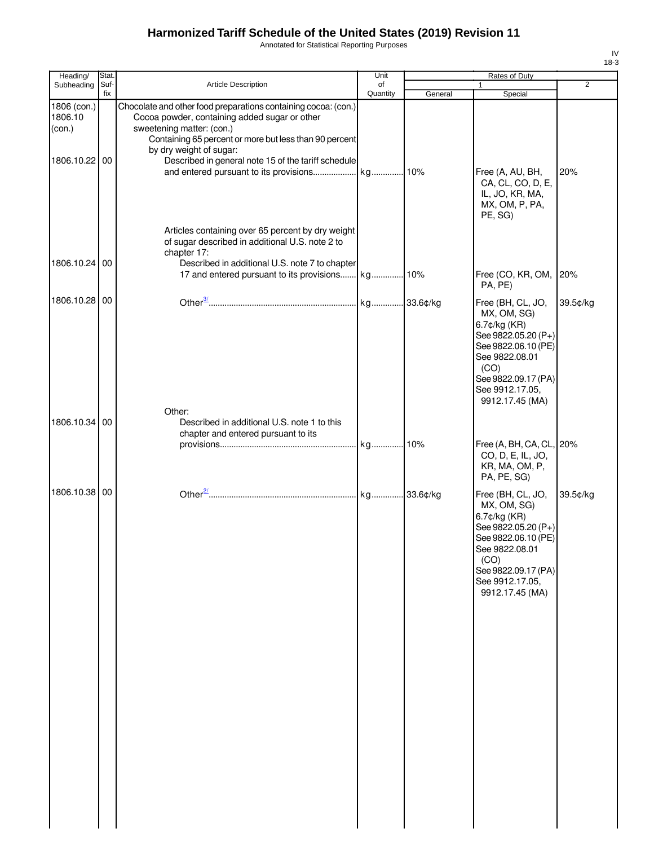Annotated for Statistical Reporting Purposes

| ×<br>۰.<br>۰, |
|---------------|

| Heading/                         | Stat.       |                                                                                                                                                                                                                                   | Unit           |         | Rates of Duty                                                                                                                                                                         |                |
|----------------------------------|-------------|-----------------------------------------------------------------------------------------------------------------------------------------------------------------------------------------------------------------------------------|----------------|---------|---------------------------------------------------------------------------------------------------------------------------------------------------------------------------------------|----------------|
| Subheading                       | Suf-<br>fix | <b>Article Description</b>                                                                                                                                                                                                        | of<br>Quantity | General | $\mathbf{1}$<br>Special                                                                                                                                                               | $\overline{2}$ |
| 1806 (con.)<br>1806.10<br>(con.) |             | Chocolate and other food preparations containing cocoa: (con.)<br>Cocoa powder, containing added sugar or other<br>sweetening matter: (con.)<br>Containing 65 percent or more but less than 90 percent<br>by dry weight of sugar: |                |         |                                                                                                                                                                                       |                |
| 1806.10.22 00                    |             | Described in general note 15 of the tariff schedule<br>Articles containing over 65 percent by dry weight<br>of sugar described in additional U.S. note 2 to                                                                       |                |         | Free (A, AU, BH,<br>CA, CL, CO, D, E,<br>IL, JO, KR, MA,<br>MX, OM, P, PA,<br>PE, SG)                                                                                                 | 20%            |
| 1806.10.24                       | 00          | chapter 17:<br>Described in additional U.S. note 7 to chapter                                                                                                                                                                     |                |         | Free (CO, KR, OM,<br>PA, PE)                                                                                                                                                          | 20%            |
| 1806.10.28 00                    |             |                                                                                                                                                                                                                                   |                |         | Free (BH, CL, JO,<br>MX, OM, SG)<br>6.7¢/kg (KR)<br>See 9822.05.20 (P+)<br>See 9822.06.10 (PE)<br>See 9822.08.01<br>(CO)<br>See 9822.09.17 (PA)<br>See 9912.17.05,<br>9912.17.45 (MA) | 39.5¢/kg       |
| 1806.10.34 00                    |             | Other:<br>Described in additional U.S. note 1 to this<br>chapter and entered pursuant to its                                                                                                                                      |                |         | Free (A, BH, CA, CL, 20%<br>CO, D, E, IL, JO,                                                                                                                                         |                |
|                                  |             |                                                                                                                                                                                                                                   |                |         | KR, MA, OM, P,<br>PA, PE, SG)                                                                                                                                                         |                |
| 1806.10.38 00                    |             |                                                                                                                                                                                                                                   |                |         | Free (BH, CL, JO,<br>MX, OM, SG)<br>6.7¢/kg (KR)<br>See 9822.05.20 (P+)<br>See 9822.06.10 (PE)<br>See 9822.08.01<br>(CO)<br>See 9822.09.17 (PA)<br>See 9912.17.05,<br>9912.17.45 (MA) | 39.5¢/kg       |
|                                  |             |                                                                                                                                                                                                                                   |                |         |                                                                                                                                                                                       |                |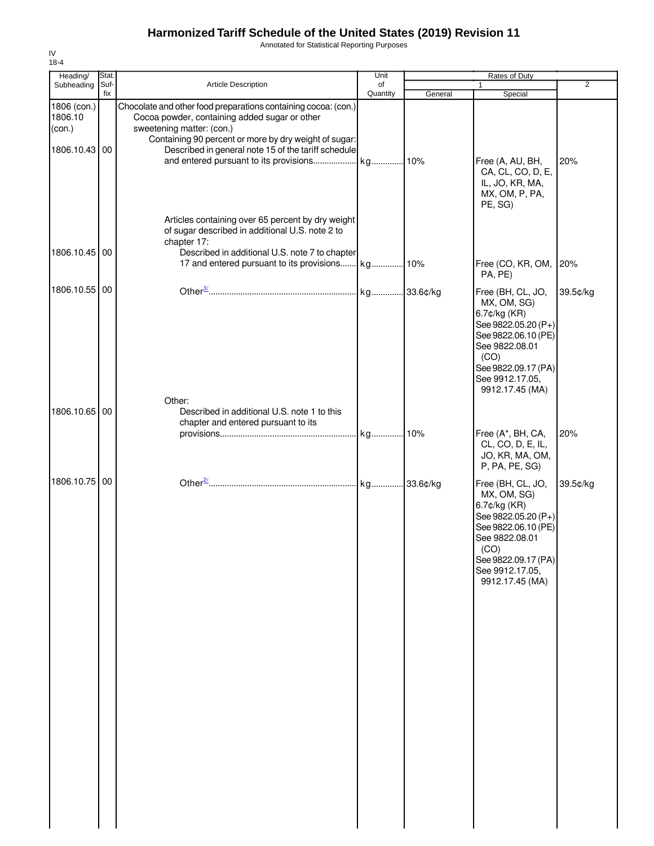Annotated for Statistical Reporting Purposes

| Heading/                                          | Stat.       |                                                                                                                                                                                                                                                                                                        | Unit           | <b>Rates of Duty</b> |                                                                                                                                                                                       |                |
|---------------------------------------------------|-------------|--------------------------------------------------------------------------------------------------------------------------------------------------------------------------------------------------------------------------------------------------------------------------------------------------------|----------------|----------------------|---------------------------------------------------------------------------------------------------------------------------------------------------------------------------------------|----------------|
| Subheading                                        | Suf-<br>fix | Article Description                                                                                                                                                                                                                                                                                    | of<br>Quantity | General              | $\mathbf{1}$<br>Special                                                                                                                                                               | $\overline{2}$ |
| 1806 (con.)<br>1806.10<br>(con.)<br>1806.10.43 00 |             | Chocolate and other food preparations containing cocoa: (con.)<br>Cocoa powder, containing added sugar or other<br>sweetening matter: (con.)<br>Containing 90 percent or more by dry weight of sugar:<br>Described in general note 15 of the tariff schedule<br>and entered pursuant to its provisions | kg 10%         |                      | Free (A, AU, BH,<br>CA, CL, CO, D, E,<br>IL, JO, KR, MA,<br>MX, OM, P, PA,<br>PE, SG)                                                                                                 | 20%            |
| 1806.10.45 00                                     |             | Articles containing over 65 percent by dry weight<br>of sugar described in additional U.S. note 2 to<br>chapter 17:<br>Described in additional U.S. note 7 to chapter                                                                                                                                  |                |                      | Free (CO, KR, OM,                                                                                                                                                                     | 20%            |
| 1806.10.55 00                                     |             |                                                                                                                                                                                                                                                                                                        | kg 33.6¢/kg    |                      | PA, PE)<br>Free (BH, CL, JO,<br>MX, OM, SG)<br>6.7¢/kg (KR)<br>See 9822.05.20 (P+)<br>See 9822.06.10 (PE)<br>See 9822.08.01                                                           | 39.5¢/kg       |
| 1806.10.65 00                                     |             | Other:<br>Described in additional U.S. note 1 to this<br>chapter and entered pursuant to its                                                                                                                                                                                                           |                |                      | (CO)<br>See 9822.09.17 (PA)<br>See 9912.17.05,<br>9912.17.45 (MA)                                                                                                                     |                |
|                                                   |             |                                                                                                                                                                                                                                                                                                        |                |                      | Free (A*, BH, CA,<br>CL, CO, D, E, IL,<br>JO, KR, MA, OM,<br>P, PA, PE, SG)                                                                                                           | 20%            |
| 1806.10.75 00                                     |             |                                                                                                                                                                                                                                                                                                        |                |                      | Free (BH, CL, JO,<br>MX, OM, SG)<br>6.7¢/kg (KR)<br>See 9822.05.20 (P+)<br>See 9822.06.10 (PE)<br>See 9822.08.01<br>(CO)<br>See 9822.09.17 (PA)<br>See 9912.17.05,<br>9912.17.45 (MA) | 39.5¢/kg       |
|                                                   |             |                                                                                                                                                                                                                                                                                                        |                |                      |                                                                                                                                                                                       |                |
|                                                   |             |                                                                                                                                                                                                                                                                                                        |                |                      |                                                                                                                                                                                       |                |
|                                                   |             |                                                                                                                                                                                                                                                                                                        |                |                      |                                                                                                                                                                                       |                |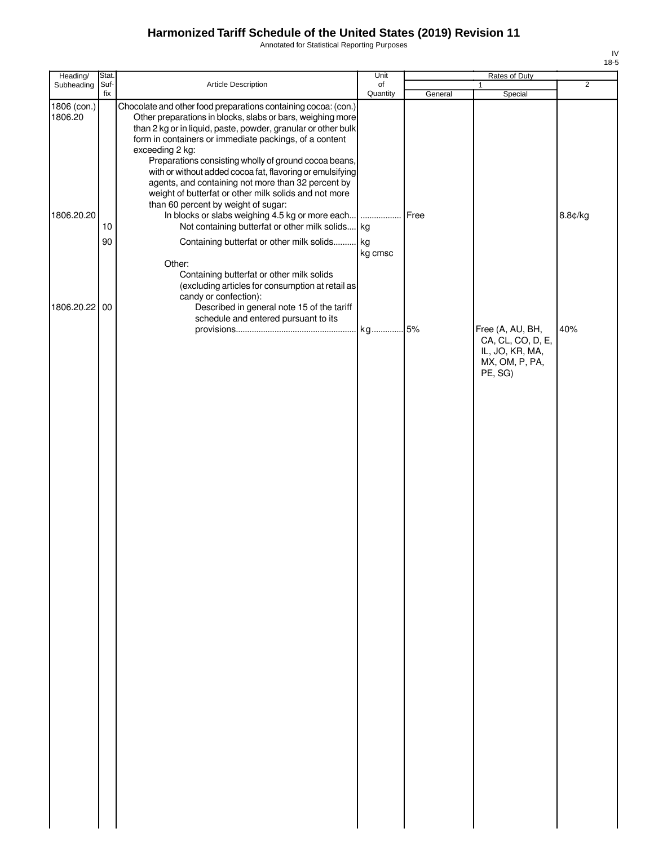Annotated for Statistical Reporting Purposes

| Heading/               | Stat.       |                                                                                                                                                                                                                                                                                                                                                                                                                                                                                                                                                        | Unit           |         | Rates of Duty                                                              |                |
|------------------------|-------------|--------------------------------------------------------------------------------------------------------------------------------------------------------------------------------------------------------------------------------------------------------------------------------------------------------------------------------------------------------------------------------------------------------------------------------------------------------------------------------------------------------------------------------------------------------|----------------|---------|----------------------------------------------------------------------------|----------------|
| Subheading             | Suf-<br>fix | Article Description                                                                                                                                                                                                                                                                                                                                                                                                                                                                                                                                    | of<br>Quantity | General | $\mathbf{1}$<br>Special                                                    | $\overline{2}$ |
| 1806 (con.)<br>1806.20 |             | Chocolate and other food preparations containing cocoa: (con.)<br>Other preparations in blocks, slabs or bars, weighing more<br>than 2 kg or in liquid, paste, powder, granular or other bulk<br>form in containers or immediate packings, of a content<br>exceeding 2 kg:<br>Preparations consisting wholly of ground cocoa beans,<br>with or without added cocoa fat, flavoring or emulsifying<br>agents, and containing not more than 32 percent by<br>weight of butterfat or other milk solids and not more<br>than 60 percent by weight of sugar: |                |         |                                                                            |                |
| 1806.20.20             | 10          | In blocks or slabs weighing 4.5 kg or more each  Free<br>Not containing butterfat or other milk solids kg                                                                                                                                                                                                                                                                                                                                                                                                                                              |                |         |                                                                            | 8.8¢/kg        |
| 1806.20.22 00          | 90          | Containing butterfat or other milk solids kg<br>Other:<br>Containing butterfat or other milk solids<br>(excluding articles for consumption at retail as<br>candy or confection):<br>Described in general note 15 of the tariff                                                                                                                                                                                                                                                                                                                         | kg cmsc        |         |                                                                            |                |
|                        |             | schedule and entered pursuant to its                                                                                                                                                                                                                                                                                                                                                                                                                                                                                                                   |                |         | Free (A, AU, BH,<br>CA, CL, CO, D, E,<br>IL, JO, KR, MA,<br>MX, OM, P, PA, | 40%            |
|                        |             |                                                                                                                                                                                                                                                                                                                                                                                                                                                                                                                                                        |                |         | PE, SG)                                                                    |                |
|                        |             |                                                                                                                                                                                                                                                                                                                                                                                                                                                                                                                                                        |                |         |                                                                            |                |
|                        |             |                                                                                                                                                                                                                                                                                                                                                                                                                                                                                                                                                        |                |         |                                                                            |                |
|                        |             |                                                                                                                                                                                                                                                                                                                                                                                                                                                                                                                                                        |                |         |                                                                            |                |
|                        |             |                                                                                                                                                                                                                                                                                                                                                                                                                                                                                                                                                        |                |         |                                                                            |                |
|                        |             |                                                                                                                                                                                                                                                                                                                                                                                                                                                                                                                                                        |                |         |                                                                            |                |
|                        |             |                                                                                                                                                                                                                                                                                                                                                                                                                                                                                                                                                        |                |         |                                                                            |                |
|                        |             |                                                                                                                                                                                                                                                                                                                                                                                                                                                                                                                                                        |                |         |                                                                            |                |
|                        |             |                                                                                                                                                                                                                                                                                                                                                                                                                                                                                                                                                        |                |         |                                                                            |                |
|                        |             |                                                                                                                                                                                                                                                                                                                                                                                                                                                                                                                                                        |                |         |                                                                            |                |
|                        |             |                                                                                                                                                                                                                                                                                                                                                                                                                                                                                                                                                        |                |         |                                                                            |                |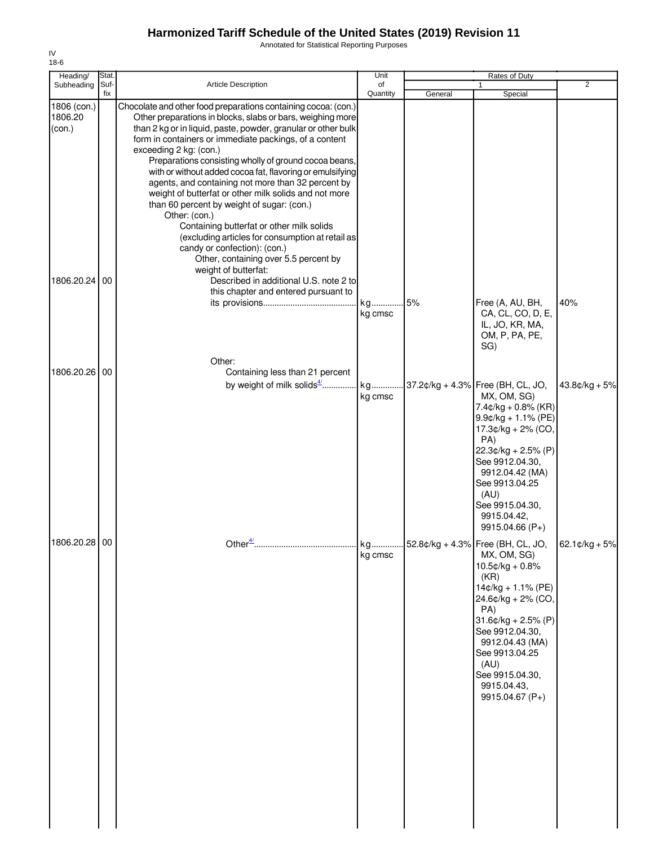Annotated for Statistical Reporting Purposes

| Heading/                         | <b>Stat</b> |                                                                                                                                                                                                                                                                                                                                                                                                                                                                                                                                                                                                                                                                                                                                                                                         | Unit           |         | Rates of Duty                                                                                                                                                                                                                                                                                      |                 |
|----------------------------------|-------------|-----------------------------------------------------------------------------------------------------------------------------------------------------------------------------------------------------------------------------------------------------------------------------------------------------------------------------------------------------------------------------------------------------------------------------------------------------------------------------------------------------------------------------------------------------------------------------------------------------------------------------------------------------------------------------------------------------------------------------------------------------------------------------------------|----------------|---------|----------------------------------------------------------------------------------------------------------------------------------------------------------------------------------------------------------------------------------------------------------------------------------------------------|-----------------|
| Subheading                       | Suf-<br>fix | <b>Article Description</b>                                                                                                                                                                                                                                                                                                                                                                                                                                                                                                                                                                                                                                                                                                                                                              | of<br>Quantity | General | Special                                                                                                                                                                                                                                                                                            | $\overline{2}$  |
| 1806 (con.)<br>1806.20<br>(con.) |             | Chocolate and other food preparations containing cocoa: (con.)<br>Other preparations in blocks, slabs or bars, weighing more<br>than 2 kg or in liquid, paste, powder, granular or other bulk<br>form in containers or immediate packings, of a content<br>exceeding 2 kg: (con.)<br>Preparations consisting wholly of ground cocoa beans,<br>with or without added cocoa fat, flavoring or emulsifying<br>agents, and containing not more than 32 percent by<br>weight of butterfat or other milk solids and not more<br>than 60 percent by weight of sugar: (con.)<br>Other: (con.)<br>Containing butterfat or other milk solids<br>(excluding articles for consumption at retail as<br>candy or confection): (con.)<br>Other, containing over 5.5 percent by<br>weight of butterfat: |                |         |                                                                                                                                                                                                                                                                                                    |                 |
| 1806.20.24                       | 00          | Described in additional U.S. note 2 to<br>this chapter and entered pursuant to                                                                                                                                                                                                                                                                                                                                                                                                                                                                                                                                                                                                                                                                                                          | kg<br>kg cmsc  | 5%      | Free (A, AU, BH,<br>CA, CL, CO, D, E,<br>IL, JO, KR, MA,<br>OM, P, PA, PE,<br>SG)                                                                                                                                                                                                                  | 40%             |
| 1806.20.26                       | 00          | Other:<br>Containing less than 21 percent<br>by weight of milk solids4/                                                                                                                                                                                                                                                                                                                                                                                                                                                                                                                                                                                                                                                                                                                 | kg<br>kg cmsc  |         | 37.2¢/kg + 4.3% Free (BH, CL, JO,<br>MX, OM, SG)<br>$7.4$ ¢/kg + 0.8% (KR)<br>$9.9$ ¢/kg + 1.1% (PE)<br>17.3¢/kg + 2% (CO,<br>PA)<br>$22.3¢/kg + 2.5% (P)$<br>See 9912.04.30,<br>9912.04.42 (MA)<br>See 9913.04.25<br>(AU)<br>See 9915.04.30,<br>9915.04.42,<br>9915.04.66 (P+)                    | $43.8¢/kg + 5%$ |
| 1806.20.28 00                    |             | Other $\frac{4}{3}$                                                                                                                                                                                                                                                                                                                                                                                                                                                                                                                                                                                                                                                                                                                                                                     | kg<br>kg cmsc  |         | $52.8¢/kg + 4.3\%$ Free (BH, CL, JO, 62.1¢/kg + 5%<br>MX, OM, SG)<br>$10.5$ ¢/kg + 0.8%<br>(KR)<br>$14¢/kg + 1.1% (PE)$<br>24.6¢/kg + 2% (CO,<br>PA)<br>$31.6¢/kg + 2.5% (P)$<br>See 9912.04.30,<br>9912.04.43 (MA)<br>See 9913.04.25<br>(AU)<br>See 9915.04.30,<br>9915.04.43,<br>9915.04.67 (P+) |                 |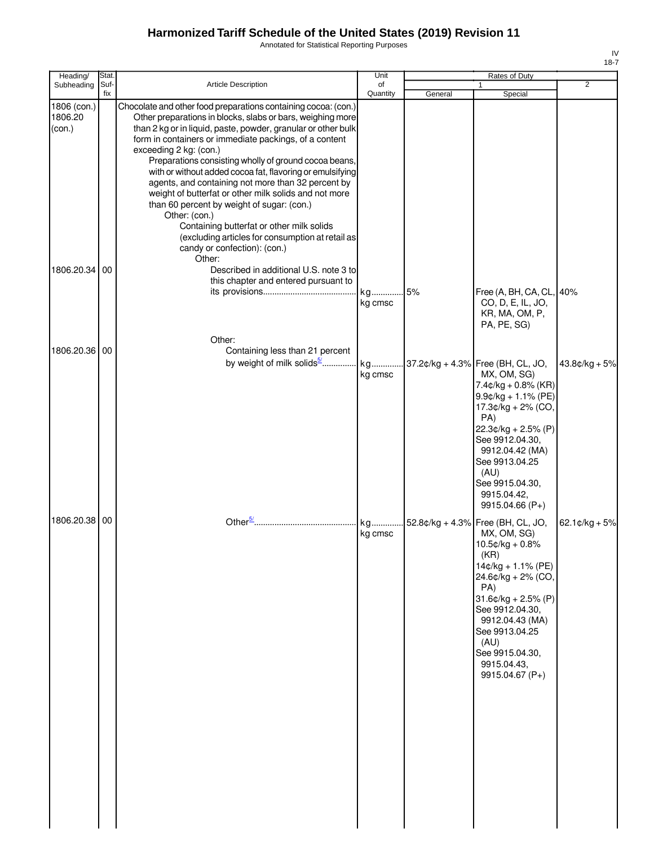Annotated for Statistical Reporting Purposes

| IV   |
|------|
| 18-7 |

| Heading/                         | Stat.       |                                                                                                                                                                                                                                                                                                                                                                                                                                                                                                                                                                                                                                                                                                                                  | Unit           |         | Rates of Duty                                                                                                                                                                                                                                                                 |                             |
|----------------------------------|-------------|----------------------------------------------------------------------------------------------------------------------------------------------------------------------------------------------------------------------------------------------------------------------------------------------------------------------------------------------------------------------------------------------------------------------------------------------------------------------------------------------------------------------------------------------------------------------------------------------------------------------------------------------------------------------------------------------------------------------------------|----------------|---------|-------------------------------------------------------------------------------------------------------------------------------------------------------------------------------------------------------------------------------------------------------------------------------|-----------------------------|
| Subheading                       | Suf-<br>fix | <b>Article Description</b>                                                                                                                                                                                                                                                                                                                                                                                                                                                                                                                                                                                                                                                                                                       | of<br>Quantity | General | 1<br>Special                                                                                                                                                                                                                                                                  | $\overline{2}$              |
| 1806 (con.)<br>1806.20<br>(con.) |             | Chocolate and other food preparations containing cocoa: (con.)<br>Other preparations in blocks, slabs or bars, weighing more<br>than 2 kg or in liquid, paste, powder, granular or other bulk<br>form in containers or immediate packings, of a content<br>exceeding 2 kg: (con.)<br>Preparations consisting wholly of ground cocoa beans,<br>with or without added cocoa fat, flavoring or emulsifying<br>agents, and containing not more than 32 percent by<br>weight of butterfat or other milk solids and not more<br>than 60 percent by weight of sugar: (con.)<br>Other: (con.)<br>Containing butterfat or other milk solids<br>(excluding articles for consumption at retail as<br>candy or confection): (con.)<br>Other: |                |         |                                                                                                                                                                                                                                                                               |                             |
| 1806.20.34 00                    |             | Described in additional U.S. note 3 to<br>this chapter and entered pursuant to<br>Other:                                                                                                                                                                                                                                                                                                                                                                                                                                                                                                                                                                                                                                         | kg<br>kg cmsc  | 5%      | Free (A, BH, CA, CL, 40%<br>CO, D, E, IL, JO,<br>KR, MA, OM, P,<br>PA, PE, SG)                                                                                                                                                                                                |                             |
| 1806.20.36 00                    |             | Containing less than 21 percent<br>by weight of milk solids <sup>5/</sup> kg 37.2¢/kg + 4.3% Free (BH, CL, JO,                                                                                                                                                                                                                                                                                                                                                                                                                                                                                                                                                                                                                   | kg cmsc        |         | MX, OM, SG)<br>$7.4$ ¢/kg + 0.8% (KR)<br>$9.9$ ¢/kg + 1.1% (PE)<br>17.3¢/kg + 2% (CO,<br>PA)<br>$22.3¢/kg + 2.5% (P)$<br>See 9912.04.30,<br>9912.04.42 (MA)<br>See 9913.04.25<br>(AU)<br>See 9915.04.30,<br>9915.04.42,<br>9915.04.66 (P+)                                    | $43.8¢/kg + 5%$             |
| 1806.20.38 00                    |             |                                                                                                                                                                                                                                                                                                                                                                                                                                                                                                                                                                                                                                                                                                                                  | kg<br>kg cmsc  |         | 52.8¢/kg + 4.3% Free (BH, CL, JO,<br>MX, OM, SG)<br>10.5¢/kg + 0.8%<br>(KR)<br>14¢/kg + 1.1% (PE)<br>24.6¢/kg + 2% (CO,<br>PA)<br>$31.6$ ¢/kg + 2.5% (P)<br>See 9912.04.30,<br>9912.04.43 (MA)<br>See 9913.04.25<br>(AU)<br>See 9915.04.30,<br>9915.04.43,<br>9915.04.67 (P+) | $62.1 \, \text{c/kg} + 5\%$ |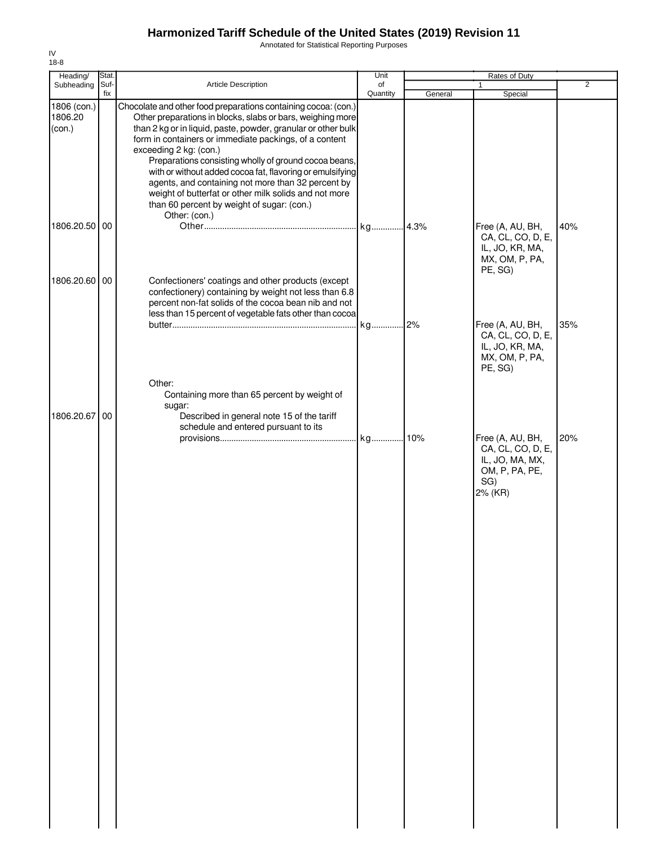Annotated for Statistical Reporting Purposes

| Heading/                         | Stat.       |                                                                                                                                                                                                                                                                                                                                                                                                                                                                                                                                                                                       | Unit           |         | Rates of Duty                                                                         |                |
|----------------------------------|-------------|---------------------------------------------------------------------------------------------------------------------------------------------------------------------------------------------------------------------------------------------------------------------------------------------------------------------------------------------------------------------------------------------------------------------------------------------------------------------------------------------------------------------------------------------------------------------------------------|----------------|---------|---------------------------------------------------------------------------------------|----------------|
| Subheading                       | Suf-<br>fix | Article Description                                                                                                                                                                                                                                                                                                                                                                                                                                                                                                                                                                   | of<br>Quantity | General | 1<br>Special                                                                          | $\overline{2}$ |
| 1806 (con.)<br>1806.20<br>(con.) |             | Chocolate and other food preparations containing cocoa: (con.)<br>Other preparations in blocks, slabs or bars, weighing more<br>than 2 kg or in liquid, paste, powder, granular or other bulk<br>form in containers or immediate packings, of a content<br>exceeding 2 kg: (con.)<br>Preparations consisting wholly of ground cocoa beans,<br>with or without added cocoa fat, flavoring or emulsifying<br>agents, and containing not more than 32 percent by<br>weight of butterfat or other milk solids and not more<br>than 60 percent by weight of sugar: (con.)<br>Other: (con.) |                |         |                                                                                       |                |
| 1806.20.50                       | 00          |                                                                                                                                                                                                                                                                                                                                                                                                                                                                                                                                                                                       |                |         | Free (A, AU, BH,<br>CA, CL, CO, D, E,<br>IL, JO, KR, MA,<br>MX, OM, P, PA,<br>PE, SG) | 40%            |
| 1806.20.60                       | 00          | Confectioners' coatings and other products (except<br>confectionery) containing by weight not less than 6.8<br>percent non-fat solids of the cocoa bean nib and not<br>less than 15 percent of vegetable fats other than cocoa                                                                                                                                                                                                                                                                                                                                                        | kg 2%          |         | Free (A, AU, BH,<br>CA, CL, CO, D, E,<br>IL, JO, KR, MA,<br>MX, OM, P, PA,            | 35%            |
| 1806.20.67                       | 00          | Other:<br>Containing more than 65 percent by weight of<br>sugar:<br>Described in general note 15 of the tariff<br>schedule and entered pursuant to its                                                                                                                                                                                                                                                                                                                                                                                                                                |                |         | PE, SG)<br>Free (A, AU, BH,<br>CA, CL, CO, D, E,<br>IL, JO, MA, MX,                   | 20%            |
|                                  |             |                                                                                                                                                                                                                                                                                                                                                                                                                                                                                                                                                                                       |                |         | OM, P, PA, PE,<br>SG)<br>2% (KR)                                                      |                |
|                                  |             |                                                                                                                                                                                                                                                                                                                                                                                                                                                                                                                                                                                       |                |         |                                                                                       |                |
|                                  |             |                                                                                                                                                                                                                                                                                                                                                                                                                                                                                                                                                                                       |                |         |                                                                                       |                |
|                                  |             |                                                                                                                                                                                                                                                                                                                                                                                                                                                                                                                                                                                       |                |         |                                                                                       |                |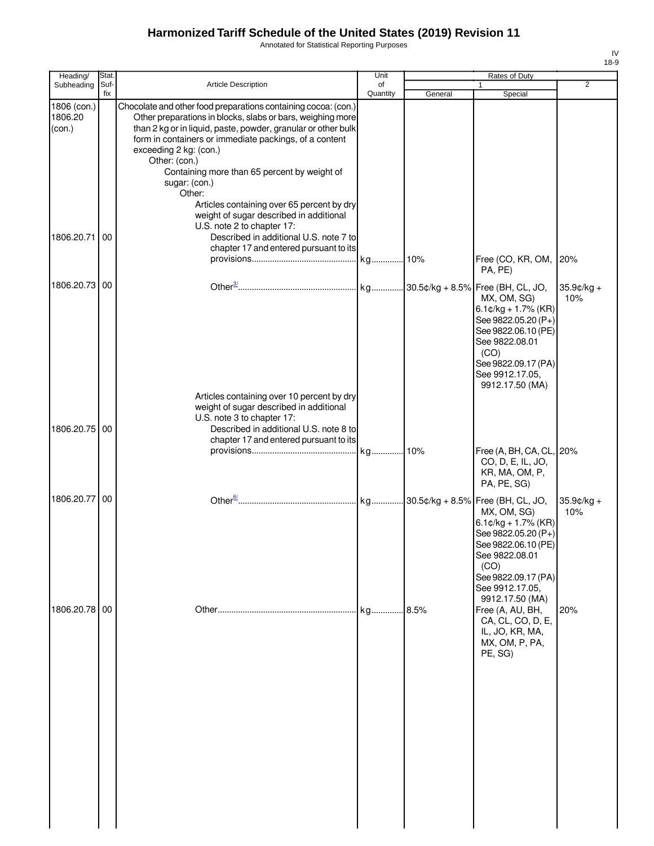Annotated for Statistical Reporting Purposes

| Heading/                                       | Stat.       |                                                                                                                                                                                                                                                                                                                                                                                                                                                                                                                                                                                          | Unit           |         | Rates of Duty                                                                                                                                                                                                                                            |                     |
|------------------------------------------------|-------------|------------------------------------------------------------------------------------------------------------------------------------------------------------------------------------------------------------------------------------------------------------------------------------------------------------------------------------------------------------------------------------------------------------------------------------------------------------------------------------------------------------------------------------------------------------------------------------------|----------------|---------|----------------------------------------------------------------------------------------------------------------------------------------------------------------------------------------------------------------------------------------------------------|---------------------|
| Subheading                                     | Suf-<br>fix | Article Description                                                                                                                                                                                                                                                                                                                                                                                                                                                                                                                                                                      | of<br>Quantity | General | Special                                                                                                                                                                                                                                                  | $\overline{2}$      |
| 1806 (con.)<br>1806.20<br>(con.)<br>1806.20.71 | 00          | Chocolate and other food preparations containing cocoa: (con.)<br>Other preparations in blocks, slabs or bars, weighing more<br>than 2 kg or in liquid, paste, powder, granular or other bulk<br>form in containers or immediate packings, of a content<br>exceeding 2 kg: (con.)<br>Other: (con.)<br>Containing more than 65 percent by weight of<br>sugar: (con.)<br>Other:<br>Articles containing over 65 percent by dry<br>weight of sugar described in additional<br>U.S. note 2 to chapter 17:<br>Described in additional U.S. note 7 to<br>chapter 17 and entered pursuant to its |                |         |                                                                                                                                                                                                                                                          |                     |
|                                                |             |                                                                                                                                                                                                                                                                                                                                                                                                                                                                                                                                                                                          |                |         | Free (CO, KR, OM,<br>PA, PE)                                                                                                                                                                                                                             | 20%                 |
| 1806.20.73 00                                  |             |                                                                                                                                                                                                                                                                                                                                                                                                                                                                                                                                                                                          |                |         | MX, OM, SG)<br>$6.1¢/kg + 1.7%$ (KR)<br>See 9822.05.20 (P+)<br>See 9822.06.10 (PE)<br>See 9822.08.01<br>(CO)<br>See 9822.09.17 (PA)<br>See 9912.17.05,<br>9912.17.50 (MA)                                                                                | $35.9¢/kg +$<br>10% |
| 1806.20.75 00                                  |             | Articles containing over 10 percent by dry<br>weight of sugar described in additional<br>U.S. note 3 to chapter 17:<br>Described in additional U.S. note 8 to<br>chapter 17 and entered pursuant to its                                                                                                                                                                                                                                                                                                                                                                                  |                |         | Free (A, BH, CA, CL, 20%<br>CO, D, E, IL, JO,<br>KR, MA, OM, P,                                                                                                                                                                                          |                     |
| 1806.20.77 00                                  |             |                                                                                                                                                                                                                                                                                                                                                                                                                                                                                                                                                                                          |                |         | PA, PE, SG)                                                                                                                                                                                                                                              | $35.9¢/kg +$        |
| 1806.20.78 00                                  |             |                                                                                                                                                                                                                                                                                                                                                                                                                                                                                                                                                                                          | kg 8.5%        |         | MX, OM, SG)<br>$6.1$ ¢/kg + 1.7% (KR)<br>See 9822.05.20 (P+)<br>See 9822.06.10 (PE)<br>See 9822.08.01<br>(CO)<br>See 9822.09.17 (PA)<br>See 9912.17.05,<br>9912.17.50 (MA)<br>Free (A, AU, BH,<br>CA, CL, CO, D, E,<br>IL, JO, KR, MA,<br>MX, OM, P, PA, | 10%<br>20%          |
|                                                |             |                                                                                                                                                                                                                                                                                                                                                                                                                                                                                                                                                                                          |                |         | PE, SG)                                                                                                                                                                                                                                                  |                     |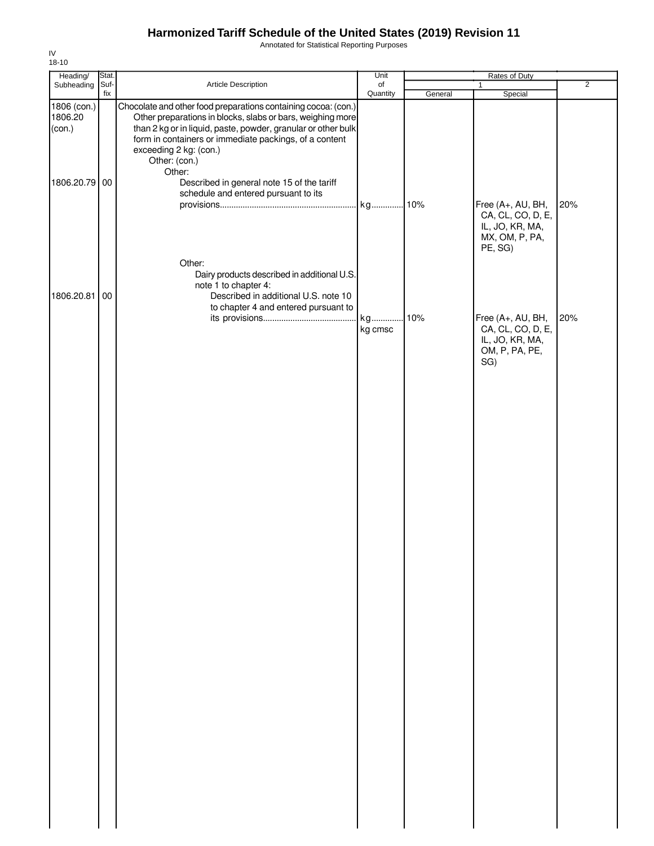Annotated for Statistical Reporting Purposes

| Heading/                         | Stat. |                                                                                                                                                                                                                                                                                                              | Unit     |         | Rates of Duty                                                                          |                |
|----------------------------------|-------|--------------------------------------------------------------------------------------------------------------------------------------------------------------------------------------------------------------------------------------------------------------------------------------------------------------|----------|---------|----------------------------------------------------------------------------------------|----------------|
| Subheading                       | Suf-  | Article Description                                                                                                                                                                                                                                                                                          | of       |         | $\mathbf{1}$                                                                           | $\overline{2}$ |
| 1806 (con.)<br>1806.20<br>(con.) | fix   | Chocolate and other food preparations containing cocoa: (con.)<br>Other preparations in blocks, slabs or bars, weighing more<br>than 2 kg or in liquid, paste, powder, granular or other bulk<br>form in containers or immediate packings, of a content<br>exceeding 2 kg: (con.)<br>Other: (con.)<br>Other: | Quantity | General | Special                                                                                |                |
| 1806.20.79 00                    |       | Described in general note 15 of the tariff<br>schedule and entered pursuant to its<br>Other:                                                                                                                                                                                                                 |          |         | Free (A+, AU, BH,<br>CA, CL, CO, D, E,<br>IL, JO, KR, MA,<br>MX, OM, P, PA,<br>PE, SG) | 20%            |
| 1806.20.81 00                    |       | Dairy products described in additional U.S.<br>note 1 to chapter 4:<br>Described in additional U.S. note 10<br>to chapter 4 and entered pursuant to                                                                                                                                                          | kg       | .10%    | Free (A+, AU, BH,                                                                      | 20%            |
|                                  |       |                                                                                                                                                                                                                                                                                                              | kg cmsc  |         | CA, CL, CO, D, E,<br>IL, JO, KR, MA,<br>OM, P, PA, PE,<br>SG)                          |                |
|                                  |       |                                                                                                                                                                                                                                                                                                              |          |         |                                                                                        |                |
|                                  |       |                                                                                                                                                                                                                                                                                                              |          |         |                                                                                        |                |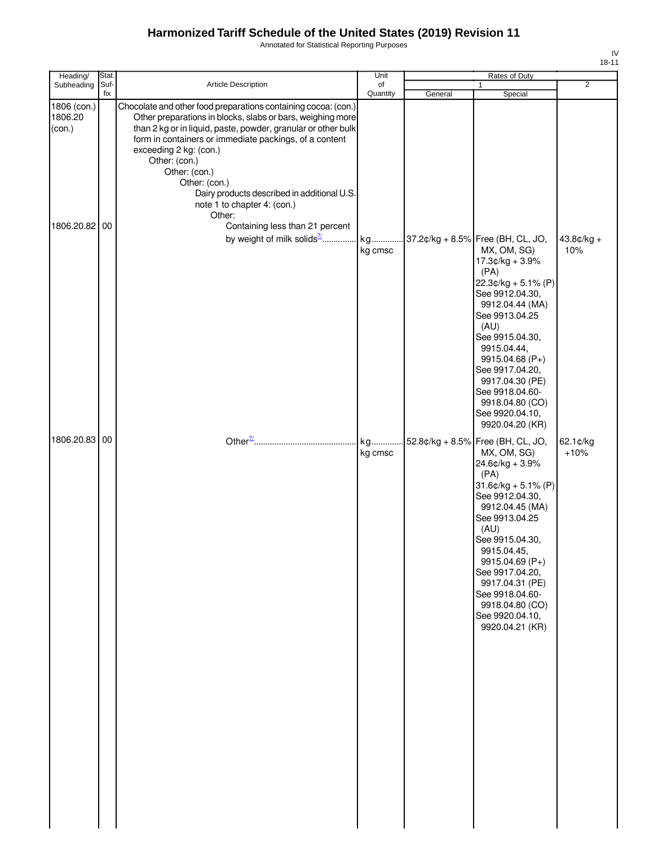Annotated for Statistical Reporting Purposes

| Heading/                                       | Stat.       |                                                                                                                                                                                                                                                                                                                                                                                                                                                                 | Unit           |         | Rates of Duty                                                                                                                                                                                                                                                                                                                                   |                     |
|------------------------------------------------|-------------|-----------------------------------------------------------------------------------------------------------------------------------------------------------------------------------------------------------------------------------------------------------------------------------------------------------------------------------------------------------------------------------------------------------------------------------------------------------------|----------------|---------|-------------------------------------------------------------------------------------------------------------------------------------------------------------------------------------------------------------------------------------------------------------------------------------------------------------------------------------------------|---------------------|
| Subheading                                     | Suf-<br>fix | Article Description                                                                                                                                                                                                                                                                                                                                                                                                                                             | of<br>Quantity | General | $\mathbf{1}$<br>Special                                                                                                                                                                                                                                                                                                                         | $\overline{2}$      |
| 1806 (con.)<br>1806.20<br>(con.)<br>1806.20.82 | 00          | Chocolate and other food preparations containing cocoa: (con.)<br>Other preparations in blocks, slabs or bars, weighing more<br>than 2 kg or in liquid, paste, powder, granular or other bulk<br>form in containers or immediate packings, of a content<br>exceeding 2 kg: (con.)<br>Other: (con.)<br>Other: (con.)<br>Other: (con.)<br>Dairy products described in additional U.S.<br>note 1 to chapter 4: (con.)<br>Other:<br>Containing less than 21 percent |                |         |                                                                                                                                                                                                                                                                                                                                                 |                     |
|                                                |             | by weight of milk solids <sup>7</sup>                                                                                                                                                                                                                                                                                                                                                                                                                           | kg<br>kg cmsc  |         | 37.2¢/kg + 8.5% Free (BH, CL, JO,<br>MX, OM, SG)<br>17.3¢/kg + 3.9%<br>(PA)<br>$22.3¢/kg + 5.1% (P)$<br>See 9912.04.30,<br>9912.04.44 (MA)<br>See 9913.04.25<br>(AU)<br>See 9915.04.30,<br>9915.04.44,<br>9915.04.68 (P+)<br>See 9917.04.20,<br>9917.04.30 (PE)<br>See 9918.04.60-<br>9918.04.80 (CO)<br>See 9920.04.10,<br>9920.04.20 (KR)     | $43.8¢/kg +$<br>10% |
| 1806.20.83                                     | 00          | Other $\frac{77}{100}$                                                                                                                                                                                                                                                                                                                                                                                                                                          | kg<br>kg cmsc  |         | 52.8¢/kg + 8.5% Free (BH, CL, JO,<br>MX, OM, SG)<br>$24.6$ ¢/kg + 3.9%<br>(PA)<br>$31.6$ ¢/kg + 5.1% (P)<br>See 9912.04.30,<br>9912.04.45 (MA)<br>See 9913.04.25<br>(AU)<br>See 9915.04.30,<br>9915.04.45,<br>9915.04.69 (P+)<br>See 9917.04.20,<br>9917.04.31 (PE)<br>See 9918.04.60-<br>9918.04.80 (CO)<br>See 9920.04.10,<br>9920.04.21 (KR) | 62.1¢/kg<br>$+10%$  |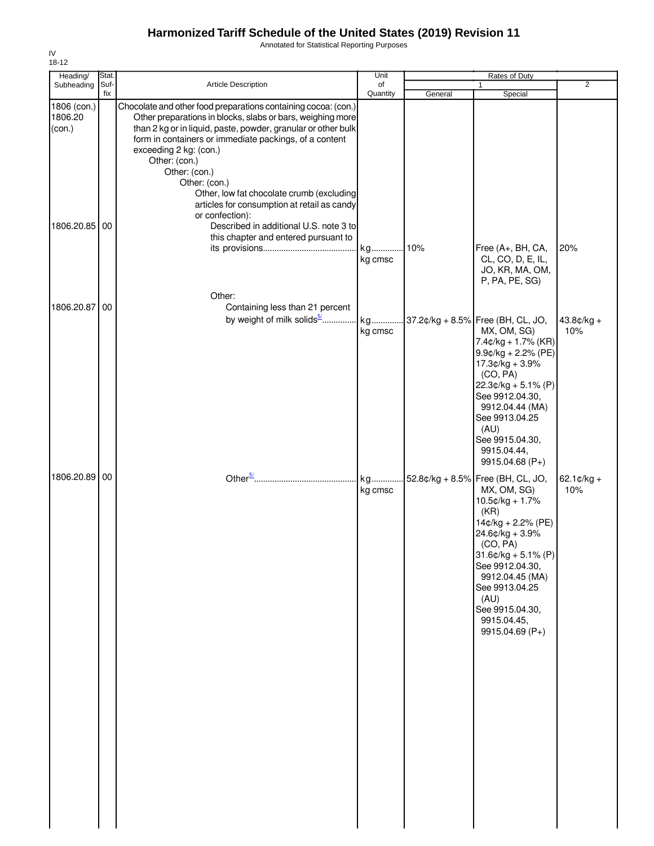Annotated for Statistical Reporting Purposes

| 18-12                            |               |                                                                                                                                                                                                                                                                                                                                                                                                                                                     |               |         |                                                                                                                                                                                                                                                                                  |                             |
|----------------------------------|---------------|-----------------------------------------------------------------------------------------------------------------------------------------------------------------------------------------------------------------------------------------------------------------------------------------------------------------------------------------------------------------------------------------------------------------------------------------------------|---------------|---------|----------------------------------------------------------------------------------------------------------------------------------------------------------------------------------------------------------------------------------------------------------------------------------|-----------------------------|
| Heading/<br>Subheading           | Stat.<br>Suf- | Article Description                                                                                                                                                                                                                                                                                                                                                                                                                                 | Unit<br>of    |         | Rates of Duty                                                                                                                                                                                                                                                                    | $\overline{2}$              |
|                                  | fix           |                                                                                                                                                                                                                                                                                                                                                                                                                                                     | Quantity      | General | Special                                                                                                                                                                                                                                                                          |                             |
| 1806 (con.)<br>1806.20<br>(con.) |               | Chocolate and other food preparations containing cocoa: (con.)<br>Other preparations in blocks, slabs or bars, weighing more<br>than 2 kg or in liquid, paste, powder, granular or other bulk<br>form in containers or immediate packings, of a content<br>exceeding 2 kg: (con.)<br>Other: (con.)<br>Other: (con.)<br>Other: (con.)<br>Other, low fat chocolate crumb (excluding<br>articles for consumption at retail as candy<br>or confection): |               |         |                                                                                                                                                                                                                                                                                  |                             |
| 1806.20.85 00                    |               | Described in additional U.S. note 3 to<br>this chapter and entered pursuant to                                                                                                                                                                                                                                                                                                                                                                      | kg<br>kg cmsc | 10%     | Free (A+, BH, CA,<br>CL, CO, D, E, IL,                                                                                                                                                                                                                                           | 20%                         |
|                                  |               | Other:                                                                                                                                                                                                                                                                                                                                                                                                                                              |               |         | JO, KR, MA, OM,<br>P, PA, PE, SG)                                                                                                                                                                                                                                                |                             |
| 1806.20.87                       | 00            | Containing less than 21 percent                                                                                                                                                                                                                                                                                                                                                                                                                     |               |         |                                                                                                                                                                                                                                                                                  |                             |
|                                  |               | by weight of milk solids <sup>5</sup>                                                                                                                                                                                                                                                                                                                                                                                                               | kg<br>kg cmsc |         | 37.2¢/kg + 8.5% Free (BH, CL, JO,<br>MX, OM, SG)<br>$7.4¢/kg + 1.7%$ (KR)<br>$9.9$ c/kg + 2.2% (PE)<br>17.3¢/kg + 3.9%<br>(CO, PA)<br>$22.3¢/kg + 5.1% (P)$<br>See 9912.04.30,<br>9912.04.44 (MA)<br>See 9913.04.25<br>(AU)<br>See 9915.04.30,<br>9915.04.44,<br>9915.04.68 (P+) | $43.8¢/kg +$<br>10%         |
| 1806.20.89 00                    |               |                                                                                                                                                                                                                                                                                                                                                                                                                                                     | kg<br>kg cmsc |         | 52.8¢/kg + 8.5% Free (BH, CL, JO,<br>MX, OM, SG)<br>10.5¢/kg + 1.7%<br>(KR)<br>14¢/kg + 2.2% (PE)<br>24.6¢/kg + 3.9%<br>(CO, PA)<br>$31.6$ ¢/kg + 5.1% (P)<br>See 9912.04.30,<br>9912.04.45 (MA)<br>See 9913.04.25<br>(AU)<br>See 9915.04.30,<br>9915.04.45,<br>$9915.04.69(P+)$ | $62.1 \text{C/kg} +$<br>10% |

IV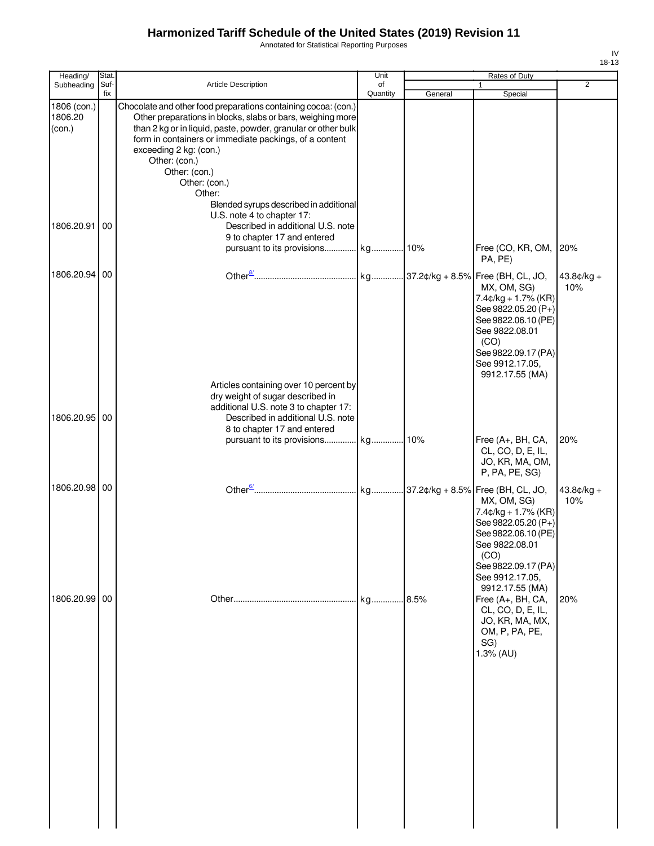Annotated for Statistical Reporting Purposes

| Heading/                                       | Stat.       |                                                                                                                                                                                                                                                                                                                                                                                                                                                             | Unit           |         | Rates of Duty                                                                                                                                                              |                     |
|------------------------------------------------|-------------|-------------------------------------------------------------------------------------------------------------------------------------------------------------------------------------------------------------------------------------------------------------------------------------------------------------------------------------------------------------------------------------------------------------------------------------------------------------|----------------|---------|----------------------------------------------------------------------------------------------------------------------------------------------------------------------------|---------------------|
| Subheading                                     | Suf-<br>fix | <b>Article Description</b>                                                                                                                                                                                                                                                                                                                                                                                                                                  | of<br>Quantity | General | Special                                                                                                                                                                    | 2                   |
| 1806 (con.)<br>1806.20<br>(con.)<br>1806.20.91 | 00          | Chocolate and other food preparations containing cocoa: (con.)<br>Other preparations in blocks, slabs or bars, weighing more<br>than 2 kg or in liquid, paste, powder, granular or other bulk<br>form in containers or immediate packings, of a content<br>exceeding 2 kg: (con.)<br>Other: (con.)<br>Other: (con.)<br>Other: (con.)<br>Other:<br>Blended syrups described in additional<br>U.S. note 4 to chapter 17:<br>Described in additional U.S. note |                |         |                                                                                                                                                                            |                     |
|                                                |             | 9 to chapter 17 and entered                                                                                                                                                                                                                                                                                                                                                                                                                                 |                |         | Free (CO, KR, OM,<br>PA, PE)                                                                                                                                               | 20%                 |
| 1806.20.94                                     | 00          |                                                                                                                                                                                                                                                                                                                                                                                                                                                             |                |         | MX, OM, SG)<br>$7.4$ ¢/kg + 1.7% (KR)<br>See 9822.05.20 (P+)<br>See 9822.06.10 (PE)<br>See 9822.08.01<br>(CO)<br>See 9822.09.17 (PA)<br>See 9912.17.05,<br>9912.17.55 (MA) | $43.8¢/kg +$<br>10% |
| 1806.20.95                                     | 00          | Articles containing over 10 percent by<br>dry weight of sugar described in<br>additional U.S. note 3 to chapter 17:<br>Described in additional U.S. note<br>8 to chapter 17 and entered                                                                                                                                                                                                                                                                     |                |         |                                                                                                                                                                            |                     |
|                                                |             | pursuant to its provisions kg                                                                                                                                                                                                                                                                                                                                                                                                                               |                | 10%     | Free (A+, BH, CA,<br>CL, CO, D, E, IL,<br>JO, KR, MA, OM,<br>P, PA, PE, SG)                                                                                                | 20%                 |
| 1806.20.98 00                                  |             |                                                                                                                                                                                                                                                                                                                                                                                                                                                             |                |         | MX, OM, SG)<br>$7.4¢/kg + 1.7%$ (KR)<br>See 9822.05.20 (P+)<br>See 9822.06.10 (PE)<br>See 9822.08.01<br>(CO)<br>See 9822.09.17 (PA)<br>See 9912.17.05,<br>9912.17.55 (MA)  | $43.8¢/kg +$<br>10% |
| 1806.20.99 00                                  |             |                                                                                                                                                                                                                                                                                                                                                                                                                                                             | kg             | 8.5%    | Free (A+, BH, CA,<br>CL, CO, D, E, IL,<br>JO, KR, MA, MX,<br>OM, P, PA, PE,<br>SG)<br>1.3% (AU)                                                                            | 20%                 |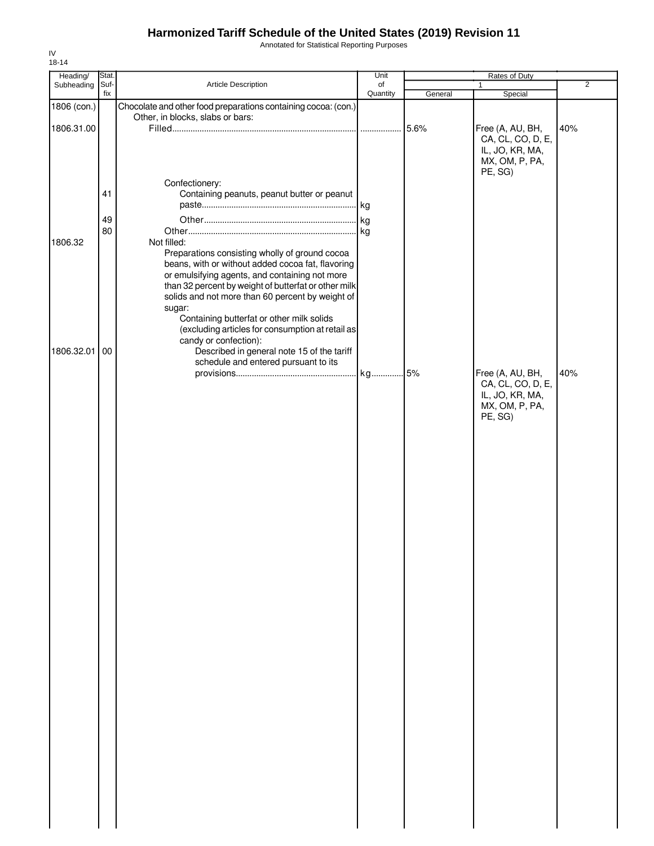Annotated for Statistical Reporting Purposes

| Heading/    | Stat.       |                                                                                                                                                                                                                                                                                  | Unit           |         | Rates of Duty                                                              |                |
|-------------|-------------|----------------------------------------------------------------------------------------------------------------------------------------------------------------------------------------------------------------------------------------------------------------------------------|----------------|---------|----------------------------------------------------------------------------|----------------|
| Subheading  | Suf-<br>fix | Article Description                                                                                                                                                                                                                                                              | of<br>Quantity | General | 1<br>Special                                                               | $\overline{2}$ |
| 1806 (con.) |             | Chocolate and other food preparations containing cocoa: (con.)                                                                                                                                                                                                                   |                |         |                                                                            |                |
| 1806.31.00  |             | Other, in blocks, slabs or bars:                                                                                                                                                                                                                                                 |                | 5.6%    | Free (A, AU, BH,<br>CA, CL, CO, D, E,<br>IL, JO, KR, MA,<br>MX, OM, P, PA, | 40%            |
|             | 41<br>49    | Confectionery:<br>Containing peanuts, peanut butter or peanut                                                                                                                                                                                                                    |                |         | PE, SG)                                                                    |                |
| 1806.32     | 80          | Not filled:<br>Preparations consisting wholly of ground cocoa<br>beans, with or without added cocoa fat, flavoring<br>or emulsifying agents, and containing not more<br>than 32 percent by weight of butterfat or other milk<br>solids and not more than 60 percent by weight of |                |         |                                                                            |                |
| 1806.32.01  | 00          | sugar:<br>Containing butterfat or other milk solids<br>(excluding articles for consumption at retail as<br>candy or confection):<br>Described in general note 15 of the tariff<br>schedule and entered pursuant to its                                                           |                |         | Free (A, AU, BH,                                                           | 40%            |
|             |             |                                                                                                                                                                                                                                                                                  |                |         | CA, CL, CO, D, E,<br>IL, JO, KR, MA,<br>MX, OM, P, PA,<br>PE, SG)          |                |
|             |             |                                                                                                                                                                                                                                                                                  |                |         |                                                                            |                |
|             |             |                                                                                                                                                                                                                                                                                  |                |         |                                                                            |                |
|             |             |                                                                                                                                                                                                                                                                                  |                |         |                                                                            |                |
|             |             |                                                                                                                                                                                                                                                                                  |                |         |                                                                            |                |
|             |             |                                                                                                                                                                                                                                                                                  |                |         |                                                                            |                |
|             |             |                                                                                                                                                                                                                                                                                  |                |         |                                                                            |                |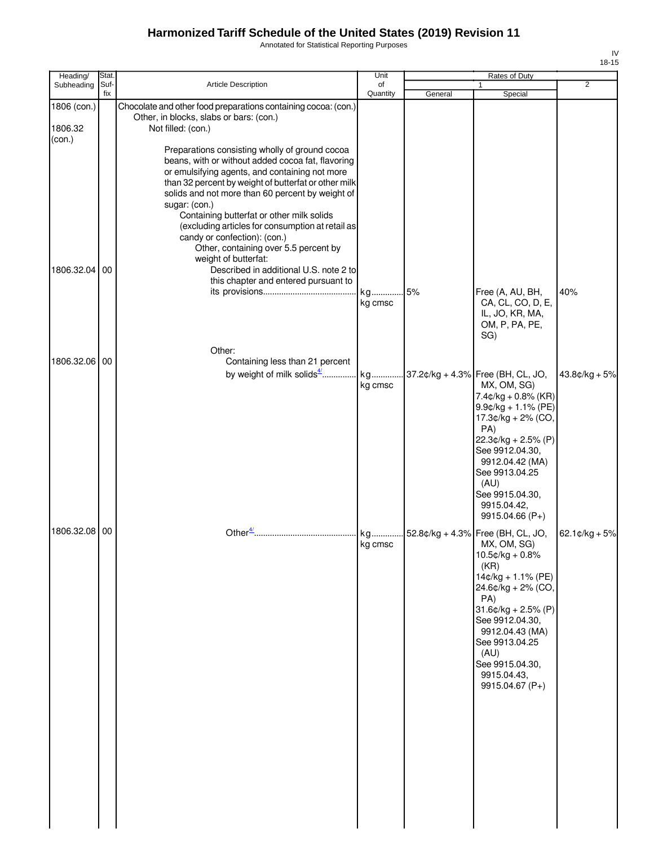Annotated for Statistical Reporting Purposes

| Heading/                         | Stat.       |                                                                                                                                                                                                                                                                                                                                                                                                                                                                                      | Unit             |         | Rates of Duty                                                                                                                                                                                                                                                  |                  |
|----------------------------------|-------------|--------------------------------------------------------------------------------------------------------------------------------------------------------------------------------------------------------------------------------------------------------------------------------------------------------------------------------------------------------------------------------------------------------------------------------------------------------------------------------------|------------------|---------|----------------------------------------------------------------------------------------------------------------------------------------------------------------------------------------------------------------------------------------------------------------|------------------|
| Subheading                       | Suf-<br>fix | Article Description                                                                                                                                                                                                                                                                                                                                                                                                                                                                  | of<br>Quantity   | General | $\mathbf{1}$<br>Special                                                                                                                                                                                                                                        | 2                |
| 1806 (con.)<br>1806.32<br>(con.) |             | Chocolate and other food preparations containing cocoa: (con.)<br>Other, in blocks, slabs or bars: (con.)<br>Not filled: (con.)                                                                                                                                                                                                                                                                                                                                                      |                  |         |                                                                                                                                                                                                                                                                |                  |
|                                  |             | Preparations consisting wholly of ground cocoa<br>beans, with or without added cocoa fat, flavoring<br>or emulsifying agents, and containing not more<br>than 32 percent by weight of butterfat or other milk<br>solids and not more than 60 percent by weight of<br>sugar: (con.)<br>Containing butterfat or other milk solids<br>(excluding articles for consumption at retail as<br>candy or confection): (con.)<br>Other, containing over 5.5 percent by<br>weight of butterfat: |                  |         |                                                                                                                                                                                                                                                                |                  |
| 1806.32.04 00                    |             | Described in additional U.S. note 2 to<br>this chapter and entered pursuant to                                                                                                                                                                                                                                                                                                                                                                                                       | kg 5%<br>kg cmsc |         | Free (A, AU, BH,<br>CA, CL, CO, D, E,<br>IL, JO, KR, MA,<br>OM, P, PA, PE,<br>SG)                                                                                                                                                                              | 40%              |
| 1806.32.06 00                    |             | Other:<br>Containing less than 21 percent<br>by weight of milk solids <sup>4</sup> kg  37.2¢/kg + 4.3% Free (BH, CL, JO,                                                                                                                                                                                                                                                                                                                                                             | kg cmsc          |         | MX, OM, SG)<br>$7.4¢/kg + 0.8% (KR)$<br>$9.9$ c/kg + 1.1% (PE)<br>17.3¢/kg + 2% (CO,<br>PA)<br>22.3¢/kg + 2.5% (P)<br>See 9912.04.30,<br>9912.04.42 (MA)<br>See 9913.04.25<br>(AU)<br>See 9915.04.30,<br>9915.04.42,                                           | $43.8c/kg + 5%$  |
| 1806.32.08 00                    |             |                                                                                                                                                                                                                                                                                                                                                                                                                                                                                      | kg cmsc          |         | 9915.04.66 (P+)<br>MX, OM, SG)<br>$10.5$ ¢/kg + 0.8%<br>(KR)<br>14¢/kg + 1.1% (PE)<br>24.6¢/kg + 2% (CO,<br>PA)<br>$31.6$ ¢/kg + 2.5% (P)<br>See 9912.04.30,<br>9912.04.43 (MA)<br>See 9913.04.25<br>(AU)<br>See 9915.04.30,<br>9915.04.43,<br>9915.04.67 (P+) | $62.1$ ¢/kg + 5% |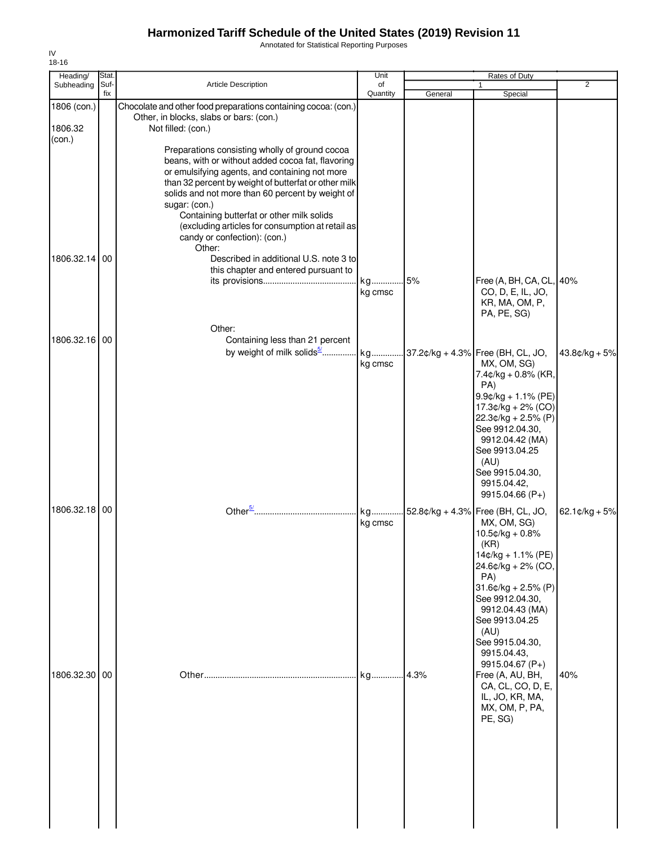Annotated for Statistical Reporting Purposes

| Heading/               | Stat.       |                                                                                                                                                                                                                                                                                                                                                                                                                               | Unit           |         | Rates of Duty                                                                                                                                                                                                                                                              |                          |
|------------------------|-------------|-------------------------------------------------------------------------------------------------------------------------------------------------------------------------------------------------------------------------------------------------------------------------------------------------------------------------------------------------------------------------------------------------------------------------------|----------------|---------|----------------------------------------------------------------------------------------------------------------------------------------------------------------------------------------------------------------------------------------------------------------------------|--------------------------|
| Subheading             | Suf-<br>fix | <b>Article Description</b>                                                                                                                                                                                                                                                                                                                                                                                                    | of<br>Quantity | General | 1<br>Special                                                                                                                                                                                                                                                               | $\overline{2}$           |
| 1806 (con.)<br>1806.32 |             | Chocolate and other food preparations containing cocoa: (con.)<br>Other, in blocks, slabs or bars: (con.)<br>Not filled: (con.)                                                                                                                                                                                                                                                                                               |                |         |                                                                                                                                                                                                                                                                            |                          |
| (con.)                 |             | Preparations consisting wholly of ground cocoa<br>beans, with or without added cocoa fat, flavoring<br>or emulsifying agents, and containing not more<br>than 32 percent by weight of butterfat or other milk<br>solids and not more than 60 percent by weight of<br>sugar: (con.)<br>Containing butterfat or other milk solids<br>(excluding articles for consumption at retail as<br>candy or confection): (con.)<br>Other: |                |         |                                                                                                                                                                                                                                                                            |                          |
| 1806.32.14 00          |             | Described in additional U.S. note 3 to<br>this chapter and entered pursuant to                                                                                                                                                                                                                                                                                                                                                | kg<br>kg cmsc  | .5%     | Free (A, BH, CA, CL, 40%<br>CO, D, E, IL, JO,<br>KR, MA, OM, P,                                                                                                                                                                                                            |                          |
|                        |             | Other:                                                                                                                                                                                                                                                                                                                                                                                                                        |                |         | PA, PE, SG)                                                                                                                                                                                                                                                                |                          |
| 1806.32.16 00          |             | Containing less than 21 percent<br>by weight of milk solids <sup>5/</sup>                                                                                                                                                                                                                                                                                                                                                     | kg<br>kg cmsc  |         | 37.2¢/kg + 4.3% Free (BH, CL, JO,<br>MX, OM, SG)<br>7.4¢/kg + 0.8% (KR,<br>PA)<br>$9.9$ c/kg + 1.1% (PE)<br>17.3¢/kg + 2% (CO)<br>22.3¢/kg + 2.5% (P)<br>See 9912.04.30,<br>9912.04.42 (MA)<br>See 9913.04.25<br>(AU)<br>See 9915.04.30,<br>9915.04.42,<br>9915.04.66 (P+) | $43.8¢/kg + 5%$          |
| 1806.32.18 00          |             | Other <sup>5/</sup>                                                                                                                                                                                                                                                                                                                                                                                                           | kg<br>kg cmsc  |         | 52.8¢/kg + 4.3% Free (BH, CL, JO,<br>MX, OM, SG)<br>$10.5$ ¢/kg + 0.8%<br>(KR)<br>14¢/kg + 1.1% (PE)<br>24.6¢/kg + 2% (CO,<br>PA)<br>$31.6$ ¢/kg + 2.5% (P)<br>See 9912.04.30,<br>9912.04.43 (MA)<br>See 9913.04.25<br>(AU)<br>See 9915.04.30,<br>9915.04.43,              | 62.1 $\text{c/kg} + 5\%$ |
| 1806.32.30 00          |             |                                                                                                                                                                                                                                                                                                                                                                                                                               | kg 4.3%        |         | 9915.04.67 (P+)<br>Free (A, AU, BH,<br>CA, CL, CO, D, E,<br>IL, JO, KR, MA,<br>MX, OM, P, PA,<br>PE, SG)                                                                                                                                                                   | 40%                      |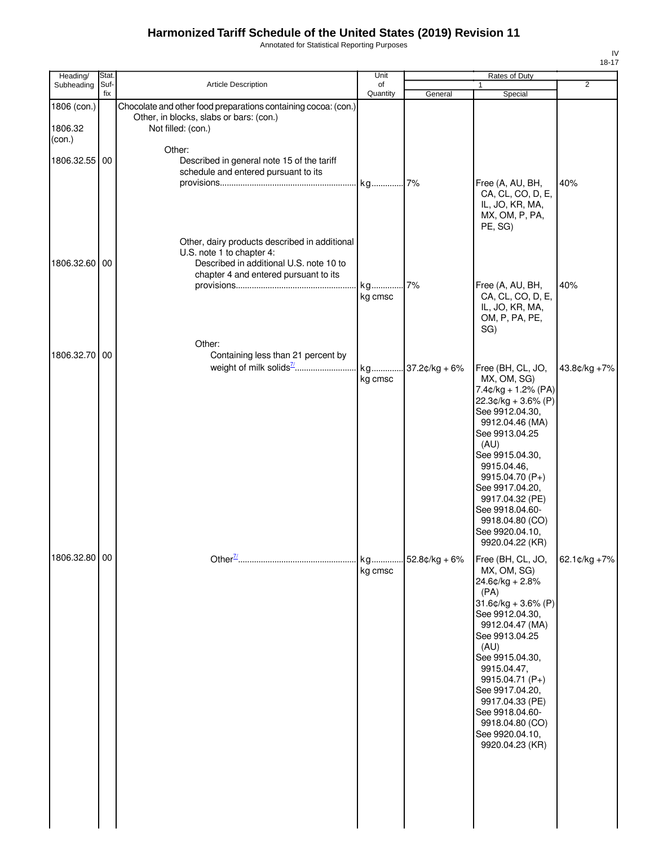Annotated for Statistical Reporting Purposes

| Heading/                         | Stat.       |                                                                                                                                                                | Unit           |                  | Rates of Duty                                                                                                                                                                                                                                                                                                                     |              |
|----------------------------------|-------------|----------------------------------------------------------------------------------------------------------------------------------------------------------------|----------------|------------------|-----------------------------------------------------------------------------------------------------------------------------------------------------------------------------------------------------------------------------------------------------------------------------------------------------------------------------------|--------------|
| Subheading                       | Suf-<br>fix | <b>Article Description</b>                                                                                                                                     | of<br>Quantity | General          | $\mathbf{1}$<br>Special                                                                                                                                                                                                                                                                                                           | 2            |
| 1806 (con.)<br>1806.32<br>(con.) |             | Chocolate and other food preparations containing cocoa: (con.)<br>Other, in blocks, slabs or bars: (con.)<br>Not filled: (con.)                                |                |                  |                                                                                                                                                                                                                                                                                                                                   |              |
| 1806.32.55                       | 00          | Other:<br>Described in general note 15 of the tariff<br>schedule and entered pursuant to its                                                                   |                |                  | Free (A, AU, BH,<br>CA, CL, CO, D, E,<br>IL, JO, KR, MA,<br>MX, OM, P, PA,<br>PE, SG)                                                                                                                                                                                                                                             | 40%          |
| 1806.32.60                       | 00          | Other, dairy products described in additional<br>U.S. note 1 to chapter 4:<br>Described in additional U.S. note 10 to<br>chapter 4 and entered pursuant to its | kg<br>kg cmsc  | 7%               | Free (A, AU, BH,<br>CA, CL, CO, D, E,<br>IL, JO, KR, MA,<br>OM, P, PA, PE,                                                                                                                                                                                                                                                        | 40%          |
| 1806.32.70                       | 00          | Other:<br>Containing less than 21 percent by                                                                                                                   | kg             | $37.2$ ¢/kg + 6% | SG)<br>Free (BH, CL, JO,                                                                                                                                                                                                                                                                                                          | 43.8¢/kg +7% |
|                                  |             |                                                                                                                                                                | kg cmsc        |                  | MX, OM, SG)<br>$7.4$ ¢/kg + 1.2% (PA)<br>$22.3¢/kg + 3.6% (P)$<br>See 9912.04.30,<br>9912.04.46 (MA)<br>See 9913.04.25<br>(AU)<br>See 9915.04.30,<br>9915.04.46,<br>9915.04.70 (P+)<br>See 9917.04.20,<br>9917.04.32 (PE)<br>See 9918.04.60-<br>9918.04.80 (CO)<br>See 9920.04.10,<br>9920.04.22 (KR)                             |              |
| 1806.32.80 00                    |             |                                                                                                                                                                | kg<br>kg cmsc  | $.52.8¢/kg + 6%$ | Free (BH, CL, JO,<br>MX, OM, SG)<br>$24.6$ ¢/kg + 2.8%<br>(PA)<br>$31.6$ ¢/kg + $3.6%$ (P)<br>See 9912.04.30,<br>9912.04.47 (MA)<br>See 9913.04.25<br>(AU)<br>See 9915.04.30,<br>9915.04.47,<br>9915.04.71 (P+)<br>See 9917.04.20,<br>9917.04.33 (PE)<br>See 9918.04.60-<br>9918.04.80 (CO)<br>See 9920.04.10,<br>9920.04.23 (KR) | 62.1¢/kg +7% |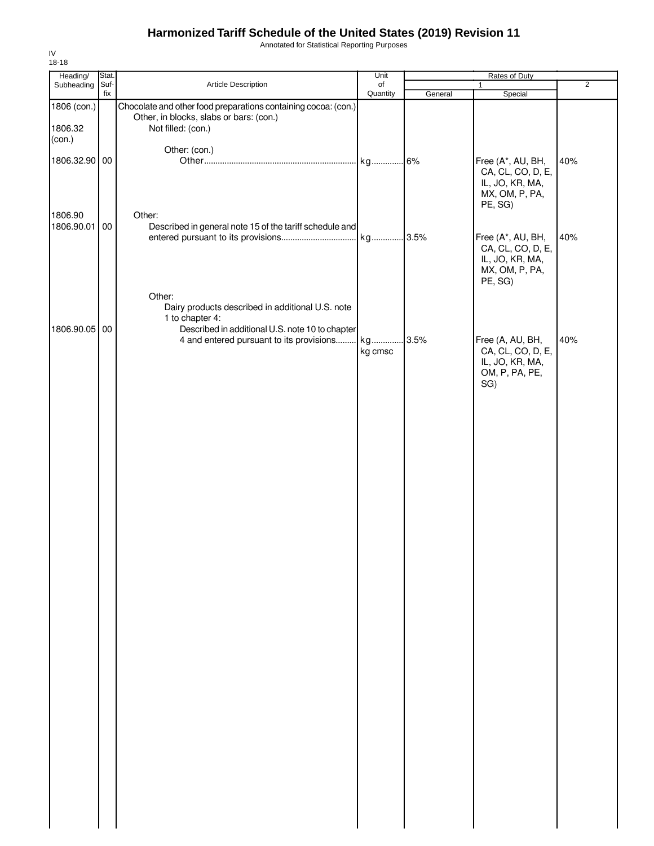Annotated for Statistical Reporting Purposes

| Heading/                 | Stat.       |                                                                                             | Unit           |         | Rates of Duty                                                                          |                |
|--------------------------|-------------|---------------------------------------------------------------------------------------------|----------------|---------|----------------------------------------------------------------------------------------|----------------|
| Subheading               | Suf-<br>fix | Article Description                                                                         | of<br>Quantity |         | $\mathbf{1}$                                                                           | $\overline{2}$ |
| 1806 (con.)              |             | Chocolate and other food preparations containing cocoa: (con.)                              |                | General | Special                                                                                |                |
| 1806.32<br>(con.)        |             | Other, in blocks, slabs or bars: (con.)<br>Not filled: (con.)                               |                |         |                                                                                        |                |
|                          |             | Other: (con.)                                                                               |                |         |                                                                                        |                |
| 1806.32.90 00<br>1806.90 |             | Other:                                                                                      | kg             | .6%     | Free (A*, AU, BH,<br>CA, CL, CO, D, E,<br>IL, JO, KR, MA,<br>MX, OM, P, PA,<br>PE, SG) | 40%            |
| 1806.90.01               | 00          | Described in general note 15 of the tariff schedule and                                     |                |         |                                                                                        |                |
|                          |             |                                                                                             |                |         | Free (A*, AU, BH,<br>CA, CL, CO, D, E,<br>IL, JO, KR, MA,<br>MX, OM, P, PA,<br>PE, SG) | 40%            |
|                          |             | Other:<br>Dairy products described in additional U.S. note<br>1 to chapter 4:               |                |         |                                                                                        |                |
| 1806.90.05 00            |             | Described in additional U.S. note 10 to chapter<br>4 and entered pursuant to its provisions | kg<br>kg cmsc  | .3.5%   | Free (A, AU, BH,<br>CA, CL, CO, D, E,<br>IL, JO, KR, MA,                               | 40%            |
|                          |             |                                                                                             |                |         | OM, P, PA, PE,<br>SG)                                                                  |                |
|                          |             |                                                                                             |                |         |                                                                                        |                |
|                          |             |                                                                                             |                |         |                                                                                        |                |
|                          |             |                                                                                             |                |         |                                                                                        |                |
|                          |             |                                                                                             |                |         |                                                                                        |                |
|                          |             |                                                                                             |                |         |                                                                                        |                |
|                          |             |                                                                                             |                |         |                                                                                        |                |
|                          |             |                                                                                             |                |         |                                                                                        |                |
|                          |             |                                                                                             |                |         |                                                                                        |                |
|                          |             |                                                                                             |                |         |                                                                                        |                |
|                          |             |                                                                                             |                |         |                                                                                        |                |
|                          |             |                                                                                             |                |         |                                                                                        |                |
|                          |             |                                                                                             |                |         |                                                                                        |                |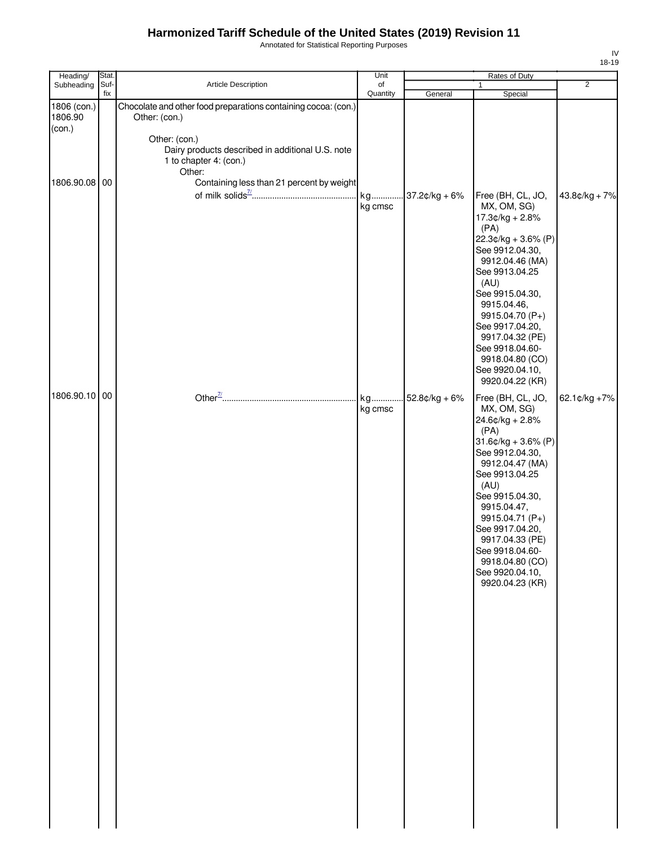Annotated for Statistical Reporting Purposes

| Heading/                         | Stat.       |                                                                                                                                                                                          | Unit           | Rates of Duty   |                                                                                                                                                                                                                                                                                                                              |                |
|----------------------------------|-------------|------------------------------------------------------------------------------------------------------------------------------------------------------------------------------------------|----------------|-----------------|------------------------------------------------------------------------------------------------------------------------------------------------------------------------------------------------------------------------------------------------------------------------------------------------------------------------------|----------------|
| Subheading                       | Suf-<br>fix | Article Description                                                                                                                                                                      | of<br>Quantity | General         | $\mathbf{1}$<br>Special                                                                                                                                                                                                                                                                                                      | $\overline{2}$ |
| 1806 (con.)<br>1806.90<br>$con.$ |             | Chocolate and other food preparations containing cocoa: (con.)<br>Other: (con.)<br>Other: (con.)<br>Dairy products described in additional U.S. note<br>1 to chapter 4: (con.)<br>Other: |                |                 |                                                                                                                                                                                                                                                                                                                              |                |
| 1806.90.08 00                    |             | Containing less than 21 percent by weight                                                                                                                                                | kg cmsc        |                 | Free (BH, CL, JO,<br>MX, OM, SG)<br>17.3¢/kg + 2.8%<br>(PA)<br>$22.3¢/kg + 3.6% (P)$<br>See 9912.04.30,<br>9912.04.46 (MA)<br>See 9913.04.25<br>(AU)<br>See 9915.04.30,<br>9915.04.46,<br>9915.04.70 (P+)<br>See 9917.04.20,<br>9917.04.32 (PE)<br>See 9918.04.60-<br>9918.04.80 (CO)<br>See 9920.04.10,<br>9920.04.22 (KR)  | 43.8¢/kg + 7%  |
| 1806.90.10 00                    |             |                                                                                                                                                                                          | kg<br>kg cmsc  | $52.8¢/kg + 6%$ | Free (BH, CL, JO,<br>MX, OM, SG)<br>24.6¢/kg + 2.8%<br>(PA)<br>$31.6$ ¢/kg + 3.6% (P)<br>See 9912.04.30,<br>9912.04.47 (MA)<br>See 9913.04.25<br>(AU)<br>See 9915.04.30,<br>9915.04.47,<br>9915.04.71 (P+)<br>See 9917.04.20,<br>9917.04.33 (PE)<br>See 9918.04.60-<br>9918.04.80 (CO)<br>See 9920.04.10,<br>9920.04.23 (KR) | 62.1¢/kg +7%   |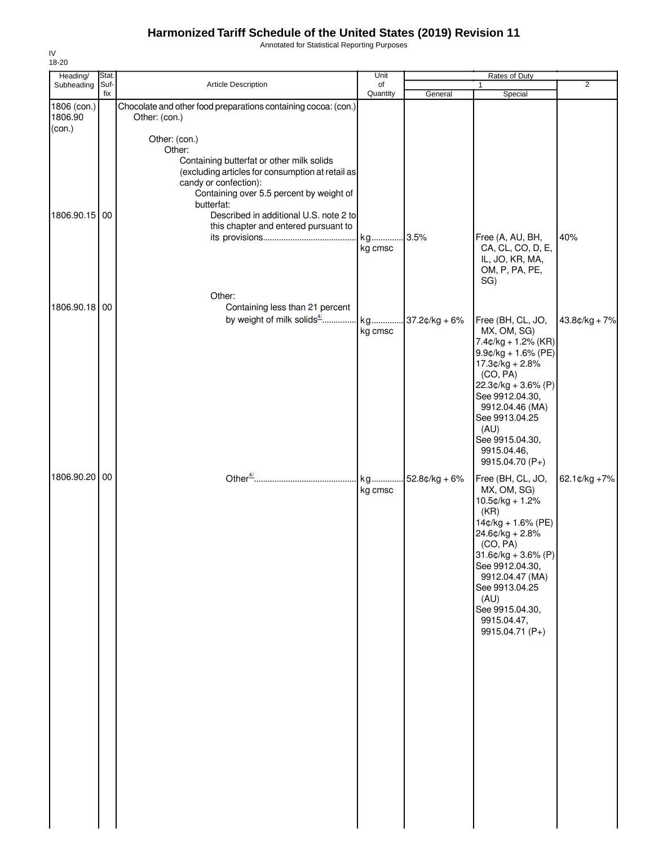Annotated for Statistical Reporting Purposes

| 18-20                            |             |                                                                                                                                                                                                                                                                    |                |                  |                                                                                                                                                                                                                                                                      |                 |
|----------------------------------|-------------|--------------------------------------------------------------------------------------------------------------------------------------------------------------------------------------------------------------------------------------------------------------------|----------------|------------------|----------------------------------------------------------------------------------------------------------------------------------------------------------------------------------------------------------------------------------------------------------------------|-----------------|
| Heading/                         | Stat.       |                                                                                                                                                                                                                                                                    | Unit           |                  | Rates of Duty                                                                                                                                                                                                                                                        |                 |
| Subheading                       | Suf-<br>fix | <b>Article Description</b>                                                                                                                                                                                                                                         | of<br>Quantity | General          | 1<br>Special                                                                                                                                                                                                                                                         | $\overline{2}$  |
| 1806 (con.)<br>1806.90<br>(con.) |             | Chocolate and other food preparations containing cocoa: (con.)<br>Other: (con.)<br>Other: (con.)<br>Other:                                                                                                                                                         |                |                  |                                                                                                                                                                                                                                                                      |                 |
| 1806.90.15 00                    |             | Containing butterfat or other milk solids<br>(excluding articles for consumption at retail as<br>candy or confection):<br>Containing over 5.5 percent by weight of<br>butterfat:<br>Described in additional U.S. note 2 to<br>this chapter and entered pursuant to | kg<br>kg cmsc  | .3.5%            | Free (A, AU, BH,<br>CA, CL, CO, D, E,<br>IL, JO, KR, MA,<br>OM, P, PA, PE,<br>SG)                                                                                                                                                                                    | 40%             |
| 1806.90.18 00                    |             | Other:<br>Containing less than 21 percent                                                                                                                                                                                                                          | kg cmsc        |                  | Free (BH, CL, JO,<br>MX, OM, SG)<br>$7.4$ ¢/kg + 1.2% (KR)<br>$9.9$ ¢/kg + 1.6% (PE)                                                                                                                                                                                 | $43.8¢/kg + 7%$ |
|                                  |             |                                                                                                                                                                                                                                                                    |                |                  | $17.3¢/kg + 2.8%$<br>(CO, PA)<br>$22.3¢/kg + 3.6% (P)$<br>See 9912.04.30,<br>9912.04.46 (MA)<br>See 9913.04.25<br>(AU)<br>See 9915.04.30,<br>9915.04.46,<br>9915.04.70 (P+)                                                                                          |                 |
| 1806.90.20 00                    |             |                                                                                                                                                                                                                                                                    | kg<br>kg cmsc  | $.52.8c/kg + 6%$ | Free (BH, CL, JO,<br>MX, OM, SG)<br>$10.5$ ¢/kg + 1.2%<br>(KR)<br>14¢/kg + 1.6% (PE)<br>$24.6¢/kg + 2.8%$<br>(CO, PA)<br>$31.6$ ¢/kg + 3.6% (P)<br>See 9912.04.30,<br>9912.04.47 (MA)<br>See 9913.04.25<br>(AU)<br>See 9915.04.30,<br>9915.04.47,<br>9915.04.71 (P+) | 62.1¢/kg +7%    |
|                                  |             |                                                                                                                                                                                                                                                                    |                |                  |                                                                                                                                                                                                                                                                      |                 |

 $\mathbb{R}^n$ 

IV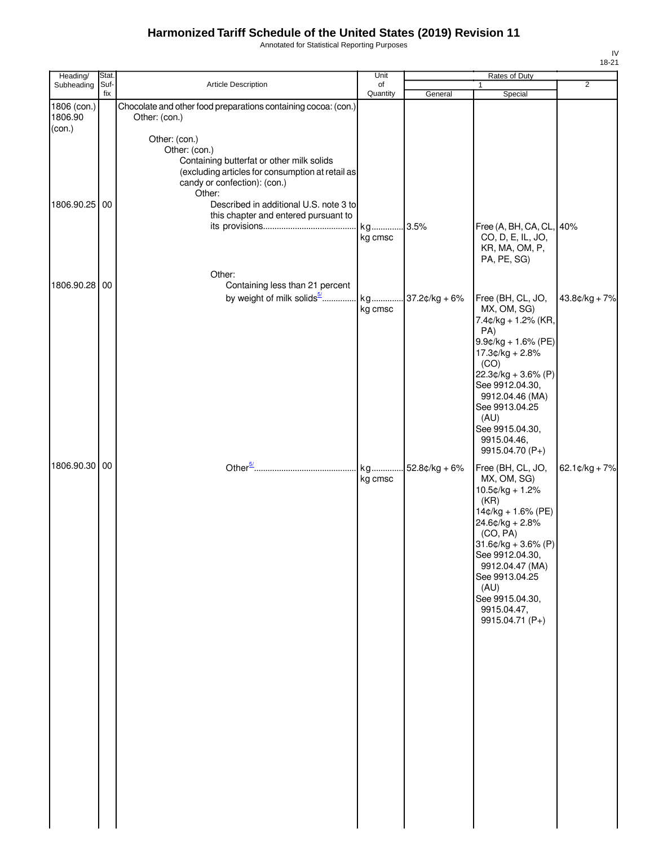Annotated for Statistical Reporting Purposes

| Heading/                | Stat. |                                                                                                                                                                                                                                                             | Unit          |                  | Rates of Duty                                                                                                                                                                                                                                                         |                   |
|-------------------------|-------|-------------------------------------------------------------------------------------------------------------------------------------------------------------------------------------------------------------------------------------------------------------|---------------|------------------|-----------------------------------------------------------------------------------------------------------------------------------------------------------------------------------------------------------------------------------------------------------------------|-------------------|
| Subheading              | Suf-  | Article Description                                                                                                                                                                                                                                         | of            |                  |                                                                                                                                                                                                                                                                       | $\overline{2}$    |
| 1806 (con.)<br>1806.90  | fix   | Chocolate and other food preparations containing cocoa: (con.)<br>Other: (con.)                                                                                                                                                                             | Quantity      | General          | Special                                                                                                                                                                                                                                                               |                   |
| (con.)<br>1806.90.25 00 |       | Other: (con.)<br>Other: (con.)<br>Containing butterfat or other milk solids<br>(excluding articles for consumption at retail as<br>candy or confection): (con.)<br>Other:<br>Described in additional U.S. note 3 to<br>this chapter and entered pursuant to | kg<br>kg cmsc | 3.5%             | Free (A, BH, CA, CL, 40%<br>CO, D, E, IL, JO,<br>KR, MA, OM, P,<br>PA, PE, SG)                                                                                                                                                                                        |                   |
| 1806.90.28 00           |       | Other:<br>Containing less than 21 percent<br>by weight of milk solids <sup>5/</sup> kg                                                                                                                                                                      |               |                  |                                                                                                                                                                                                                                                                       |                   |
|                         |       |                                                                                                                                                                                                                                                             | kg cmsc       | $37.2$ ¢/kg + 6% | Free (BH, CL, JO,<br>MX, OM, SG)<br>7.4¢/kg + 1.2% (KR,<br>PA)<br>$9.9$ ¢/kg + 1.6% (PE)<br>$17.3¢/kg + 2.8%$<br>(CO)<br>$22.3¢/kg + 3.6% (P)$<br>See 9912.04.30,<br>9912.04.46 (MA)<br>See 9913.04.25<br>(AU)<br>See 9915.04.30,<br>9915.04.46,<br>9915.04.70 (P+)   | $43.8¢/kg + 7%$   |
| 1806.90.30 00           |       |                                                                                                                                                                                                                                                             | kg<br>kg cmsc | $52.8¢/kg + 6%$  | Free (BH, CL, JO,<br>MX, OM, SG)<br>$10.5$ ¢/kg + 1.2%<br>(KR)<br>14¢/kg + 1.6% (PE)<br>$24.6$ ¢/kg + 2.8%<br>(CO, PA)<br>$31.6$ ¢/kg + 3.6% (P)<br>See 9912.04.30,<br>9912.04.47 (MA)<br>See 9913.04.25<br>(AU)<br>See 9915.04.30,<br>9915.04.47,<br>9915.04.71 (P+) | 62.1 $¢$ /kg + 7% |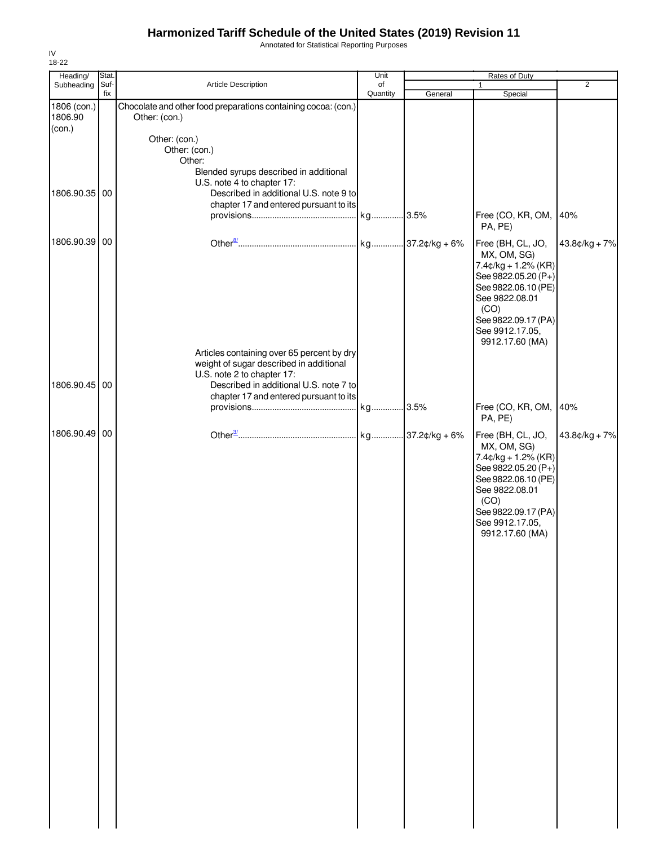Annotated for Statistical Reporting Purposes

| Heading/                         | Stat.       |                                                                                                                                                                                                         | Unit           |         | Rates of Duty                                                                                                                                                                                   |                 |
|----------------------------------|-------------|---------------------------------------------------------------------------------------------------------------------------------------------------------------------------------------------------------|----------------|---------|-------------------------------------------------------------------------------------------------------------------------------------------------------------------------------------------------|-----------------|
| Subheading                       | Suf-<br>fix | Article Description                                                                                                                                                                                     | of<br>Quantity | General | $\mathbf{1}$<br>Special                                                                                                                                                                         | $\overline{2}$  |
| 1806 (con.)<br>1806.90<br>(con.) |             | Chocolate and other food preparations containing cocoa: (con.)<br>Other: (con.)                                                                                                                         |                |         |                                                                                                                                                                                                 |                 |
| 1806.90.35 00                    |             | Other: (con.)<br>Other: (con.)<br>Other:<br>Blended syrups described in additional<br>U.S. note 4 to chapter 17:<br>Described in additional U.S. note 9 to<br>chapter 17 and entered pursuant to its    |                |         | Free (CO, KR, OM,                                                                                                                                                                               | 40%             |
|                                  |             |                                                                                                                                                                                                         |                |         | PA, PE)                                                                                                                                                                                         |                 |
| 1806.90.39 00                    |             |                                                                                                                                                                                                         |                |         | Free (BH, CL, JO,<br>MX, OM, SG)<br>$7.4¢/kg + 1.2% (KR)$<br>See 9822.05.20 (P+)<br>See 9822.06.10 (PE)<br>See 9822.08.01<br>(CO)<br>See 9822.09.17 (PA)<br>See 9912.17.05,<br>9912.17.60 (MA)  | $43.8¢/kg + 7%$ |
| 1806.90.45 00                    |             | Articles containing over 65 percent by dry<br>weight of sugar described in additional<br>U.S. note 2 to chapter 17:<br>Described in additional U.S. note 7 to<br>chapter 17 and entered pursuant to its |                |         |                                                                                                                                                                                                 |                 |
|                                  |             |                                                                                                                                                                                                         |                |         | Free (CO, KR, OM,<br>PA, PE)                                                                                                                                                                    | 40%             |
| 1806.90.49 00                    |             |                                                                                                                                                                                                         |                |         | Free (BH, CL, JO,<br>MX, OM, SG)<br>$7.4$ ¢/kg + 1.2% (KR)<br>See 9822.05.20 (P+)<br>See 9822.06.10 (PE)<br>See 9822.08.01<br>(CO)<br>See 9822.09.17 (PA)<br>See 9912.17.05,<br>9912.17.60 (MA) | $43.8¢/kg + 7%$ |
|                                  |             |                                                                                                                                                                                                         |                |         |                                                                                                                                                                                                 |                 |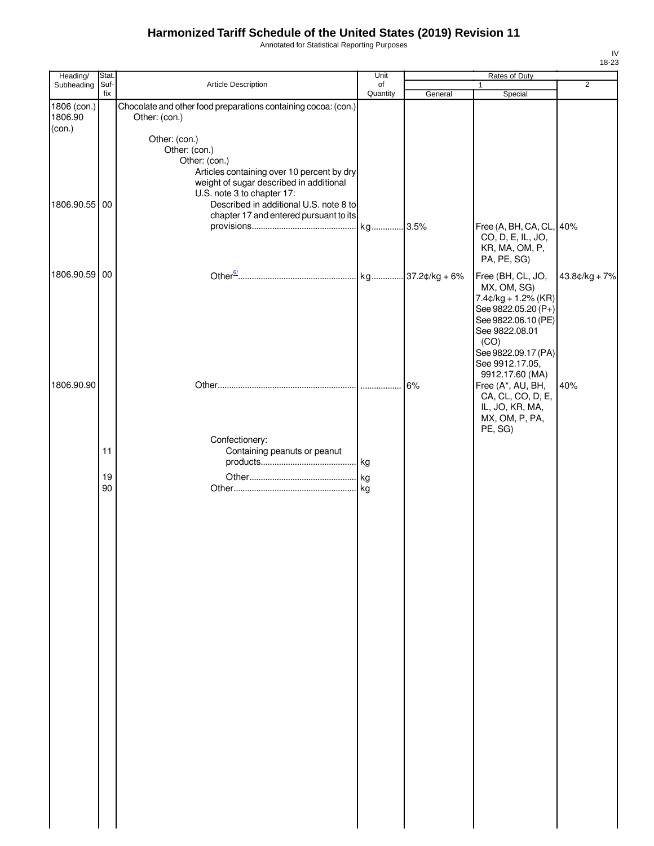Annotated for Statistical Reporting Purposes

| Heading/               | Stat.       |                                                                                 | Unit           |         | Rates of Duty                                      |                |  |
|------------------------|-------------|---------------------------------------------------------------------------------|----------------|---------|----------------------------------------------------|----------------|--|
| Subheading             | Suf-<br>fix | Article Description                                                             | of<br>Quantity | General | $\mathbf{1}$<br>Special                            | $\overline{2}$ |  |
| 1806 (con.)<br>1806.90 |             | Chocolate and other food preparations containing cocoa: (con.)<br>Other: (con.) |                |         |                                                    |                |  |
| (con.)                 |             | Other: (con.)                                                                   |                |         |                                                    |                |  |
|                        |             | Other: (con.)<br>Other: (con.)                                                  |                |         |                                                    |                |  |
|                        |             | Articles containing over 10 percent by dry                                      |                |         |                                                    |                |  |
|                        |             | weight of sugar described in additional<br>U.S. note 3 to chapter 17:           |                |         |                                                    |                |  |
| 1806.90.55 00          |             | Described in additional U.S. note 8 to                                          |                |         |                                                    |                |  |
|                        |             | chapter 17 and entered pursuant to its                                          |                |         | Free (A, BH, CA, CL, 40%                           |                |  |
|                        |             |                                                                                 |                |         | CO, D, E, IL, JO,<br>KR, MA, OM, P,<br>PA, PE, SG) |                |  |
| 1806.90.59 00          |             |                                                                                 |                |         | Free (BH, CL, JO,                                  | 43.8¢/kg + 7%  |  |
|                        |             |                                                                                 |                |         | MX, OM, SG)<br>$7.4¢/kg + 1.2% (KR)$               |                |  |
|                        |             |                                                                                 |                |         | See 9822.05.20 (P+)                                |                |  |
|                        |             |                                                                                 |                |         | See 9822.06.10 (PE)<br>See 9822.08.01              |                |  |
|                        |             |                                                                                 |                |         | (CO)<br>See 9822.09.17 (PA)                        |                |  |
|                        |             |                                                                                 |                |         | See 9912.17.05,                                    |                |  |
| 1806.90.90             |             |                                                                                 |                | 6%      | 9912.17.60 (MA)<br>Free (A*, AU, BH,               | 40%            |  |
|                        |             |                                                                                 |                |         | CA, CL, CO, D, E,                                  |                |  |
|                        |             |                                                                                 |                |         | IL, JO, KR, MA,<br>MX, OM, P, PA,                  |                |  |
|                        |             | Confectionery:                                                                  |                |         | PE, SG)                                            |                |  |
|                        | 11          | Containing peanuts or peanut                                                    |                |         |                                                    |                |  |
|                        |             |                                                                                 |                |         |                                                    |                |  |
|                        | 19<br>90    |                                                                                 |                |         |                                                    |                |  |
|                        |             |                                                                                 |                |         |                                                    |                |  |
|                        |             |                                                                                 |                |         |                                                    |                |  |
|                        |             |                                                                                 |                |         |                                                    |                |  |
|                        |             |                                                                                 |                |         |                                                    |                |  |
|                        |             |                                                                                 |                |         |                                                    |                |  |
|                        |             |                                                                                 |                |         |                                                    |                |  |
|                        |             |                                                                                 |                |         |                                                    |                |  |
|                        |             |                                                                                 |                |         |                                                    |                |  |
|                        |             |                                                                                 |                |         |                                                    |                |  |
|                        |             |                                                                                 |                |         |                                                    |                |  |
|                        |             |                                                                                 |                |         |                                                    |                |  |
|                        |             |                                                                                 |                |         |                                                    |                |  |
|                        |             |                                                                                 |                |         |                                                    |                |  |
|                        |             |                                                                                 |                |         |                                                    |                |  |
|                        |             |                                                                                 |                |         |                                                    |                |  |
|                        |             |                                                                                 |                |         |                                                    |                |  |
|                        |             |                                                                                 |                |         |                                                    |                |  |
|                        |             |                                                                                 |                |         |                                                    |                |  |
|                        |             |                                                                                 |                |         |                                                    |                |  |
|                        |             |                                                                                 |                |         |                                                    |                |  |